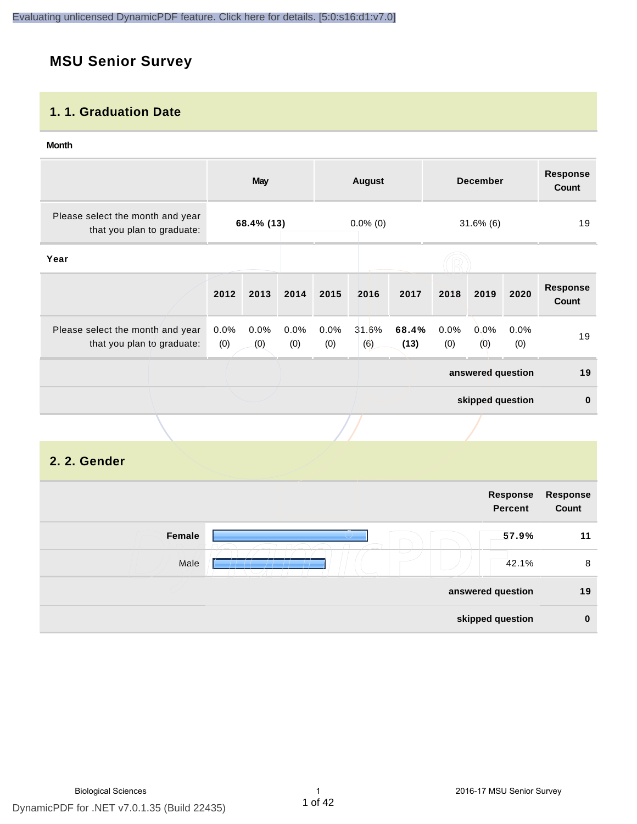# **MSU Senior Survey**

### **1. 1. Graduation Date**

#### **Month**

|                                                                |                | May         |             |             | <b>August</b> |               |             | <b>December</b>   |             | <b>Response</b><br><b>Count</b> |
|----------------------------------------------------------------|----------------|-------------|-------------|-------------|---------------|---------------|-------------|-------------------|-------------|---------------------------------|
| Please select the month and year<br>that you plan to graduate: |                | 68.4% (13)  |             |             | $0.0\%$ (0)   |               |             | $31.6\%$ (6)      |             | 19                              |
| Year                                                           |                |             |             |             |               |               |             |                   |             |                                 |
|                                                                | 2012           | 2013        | 2014        | 2015        | 2016          | 2017          | 2018        | 2019              | 2020        | <b>Response</b><br>Count        |
| Please select the month and year<br>that you plan to graduate: | $0.0\%$<br>(0) | 0.0%<br>(0) | 0.0%<br>(0) | 0.0%<br>(0) | 31.6%<br>(6)  | 68.4%<br>(13) | 0.0%<br>(0) | 0.0%<br>(0)       | 0.0%<br>(0) | 19                              |
|                                                                |                |             |             |             |               |               |             | answered question |             | 19                              |
|                                                                |                |             |             |             |               |               |             | skipped question  |             | $\mathbf 0$                     |
|                                                                |                |             |             |             |               |               |             |                   |             |                                 |

# **2. 2. Gender**

|        | Response<br><b>Percent</b>        | <b>Response</b><br>Count |
|--------|-----------------------------------|--------------------------|
| Female | 57.9%                             | 11                       |
| Male   | $\overline{\phantom{a}}$<br>42.1% | 8                        |
|        | answered question                 | 19                       |
|        | skipped question                  | $\bf{0}$                 |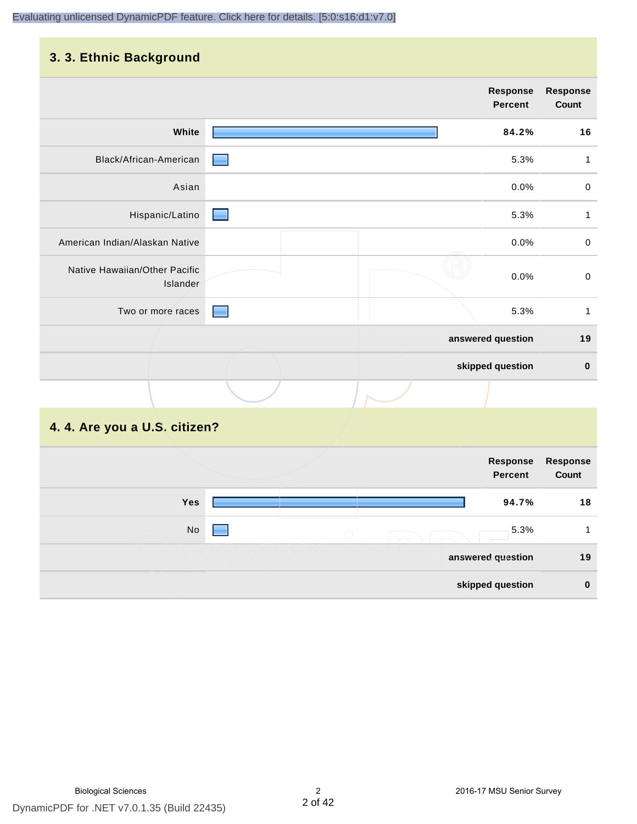# **3. 3. Ethnic Background**

|                                           |                   | <b>Response</b><br>Percent | <b>Response</b><br>Count |
|-------------------------------------------|-------------------|----------------------------|--------------------------|
| White                                     |                   | 84.2%                      | 16                       |
| Black/African-American                    |                   | 5.3%                       | 1                        |
| Asian                                     |                   | 0.0%                       | $\mathbf 0$              |
| Hispanic/Latino                           |                   | 5.3%                       | 1                        |
| American Indian/Alaskan Native            |                   | 0.0%                       | $\pmb{0}$                |
| Native Hawaiian/Other Pacific<br>Islander |                   | 0.0%                       | $\pmb{0}$                |
| Two or more races                         |                   | 5.3%                       | $\mathbf{1}$             |
|                                           | answered question |                            | 19                       |
|                                           | skipped question  |                            | $\pmb{0}$                |
|                                           |                   |                            |                          |

# **4. 4. Are you a U.S. citizen?**

|     |            | Response<br><b>Percent</b> | <b>Response</b><br>Count |
|-----|------------|----------------------------|--------------------------|
| Yes |            | 94.7%                      | 18                       |
| No  | $\bigcirc$ | 5.3%                       |                          |
|     |            | answered question          | 19                       |
|     |            | skipped question           | $\bf{0}$                 |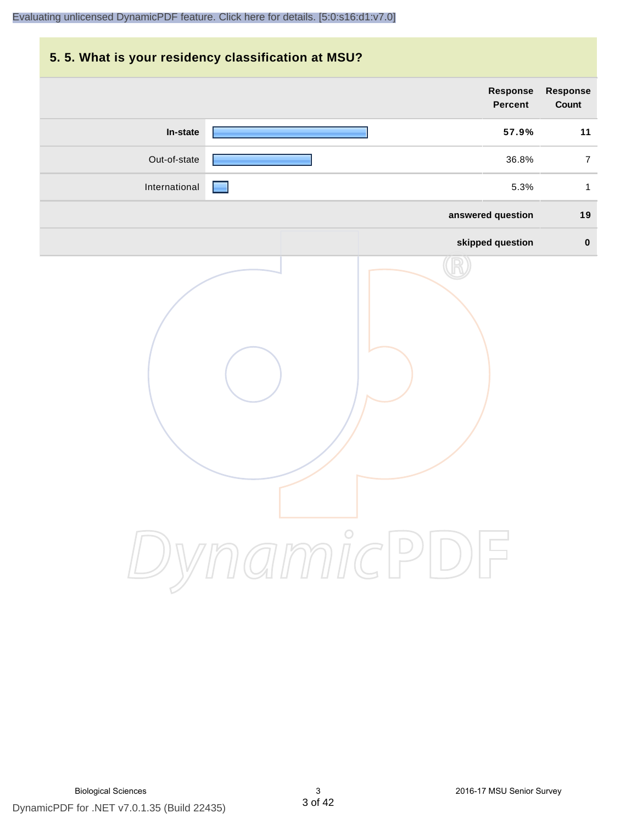# **5. 5. What is your residency classification at MSU? Response Response Percent Count In-state 57.9% 11** Out-of-state **18.8%** 7 International 5.3% 1 **answered question 19 skipped question 0** DynamicPDF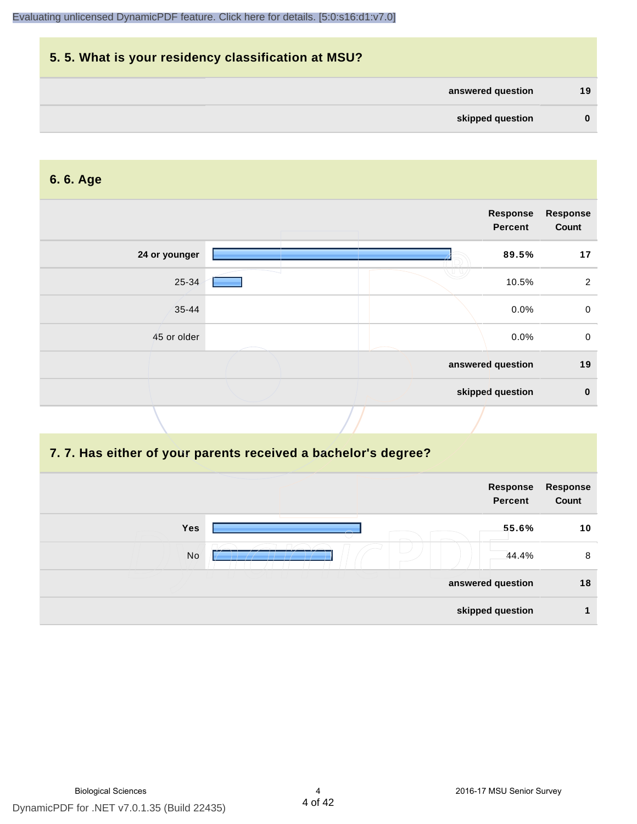

#### **6. 6. Age**

|               |  | Response<br><b>Percent</b> | <b>Response</b><br>Count |
|---------------|--|----------------------------|--------------------------|
| 24 or younger |  | 89.5%                      | 17                       |
| 25-34         |  | 10.5%                      | 2                        |
| $35 - 44$     |  | 0.0%                       | $\mathbf 0$              |
| 45 or older   |  | 0.0%                       | $\mathbf 0$              |
|               |  | answered question          | 19                       |
|               |  | skipped question           | $\mathbf 0$              |

#### **7. 7. Has either of your parents received a bachelor's degree?**

|     | Response<br><b>Percent</b> | Response<br>Count |
|-----|----------------------------|-------------------|
| Yes | 55.6%                      | 10                |
| No  | 44.4%                      | 8                 |
|     | answered question          | 18                |
|     | skipped question           |                   |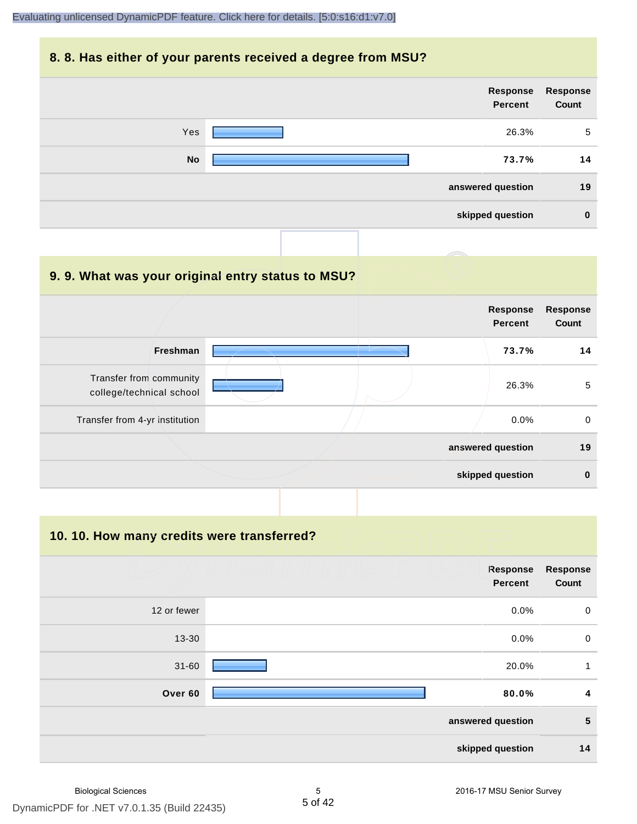#### **8. 8. Has either of your parents received a degree from MSU?**

| Response<br>Count | Response<br>Percent |           |
|-------------------|---------------------|-----------|
| 5                 | 26.3%               | Yes       |
| 14                | 73.7%               | <b>No</b> |
| 19                | answered question   |           |
| $\bf{0}$          | skipped question    |           |

| 9.9. What was your original entry status to MSU?    |                                   |                          |
|-----------------------------------------------------|-----------------------------------|--------------------------|
|                                                     | <b>Response</b><br><b>Percent</b> | <b>Response</b><br>Count |
| <b>Freshman</b>                                     | 73.7%                             | 14                       |
| Transfer from community<br>college/technical school | 26.3%                             | 5                        |
| Transfer from 4-yr institution                      | 0.0%                              | $\Omega$                 |
|                                                     | answered question                 | 19                       |
|                                                     | skipped question                  | $\bf{0}$                 |

**10. 10. How many credits were transferred?**

|             | Response<br><b>Percent</b> | <b>Response</b><br>Count |
|-------------|----------------------------|--------------------------|
|             |                            |                          |
| 12 or fewer | 0.0%                       | $\mathbf 0$              |
| 13-30       | 0.0%                       | $\mathbf 0$              |
| $31 - 60$   | 20.0%                      | 1                        |
| Over 60     | 80.0%                      | $\boldsymbol{4}$         |
|             | answered question          | $\sqrt{5}$               |
|             | skipped question           | 14                       |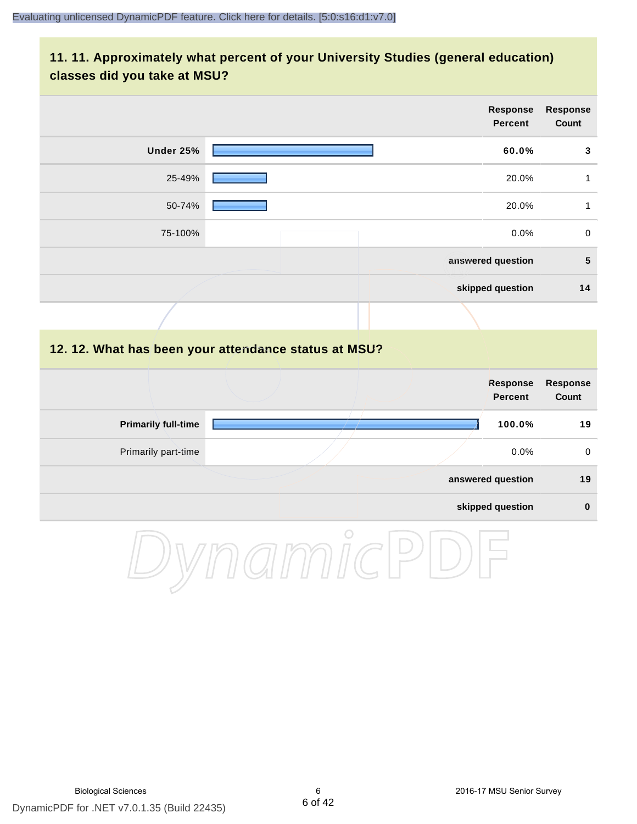# **11. 11. Approximately what percent of your University Studies (general education) classes did you take at MSU?**

|           | <b>Response</b><br><b>Percent</b>                    | <b>Response</b><br>Count |
|-----------|------------------------------------------------------|--------------------------|
| Under 25% | 60.0%                                                | 3                        |
| 25-49%    | 20.0%                                                | $\mathbf{1}$             |
| 50-74%    | 20.0%                                                | $\mathbf{1}$             |
| 75-100%   | 0.0%                                                 | $\mathbf 0$              |
|           | answered question                                    | ${\bf 5}$                |
|           | skipped question                                     | 14                       |
|           |                                                      |                          |
|           | 12. 12. What has been your attendance status at MSU? |                          |

|                            |  | Response<br><b>Percent</b> | Response<br>Count |
|----------------------------|--|----------------------------|-------------------|
| <b>Primarily full-time</b> |  | 100.0%                     | 19                |
| Primarily part-time        |  | $0.0\%$                    | 0                 |
|                            |  | answered question          | 19                |
|                            |  | skipped question           | $\bf{0}$          |

DynamicPDF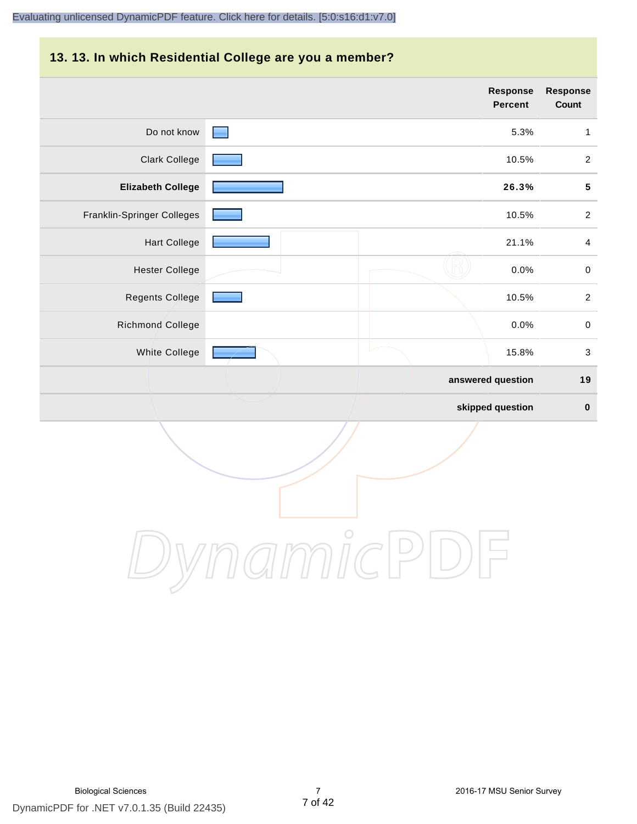#### **13. 13. In which Residential College are you a member?**

|                            |                                   | <b>Response</b><br><b>Percent</b> | <b>Response</b><br>Count  |
|----------------------------|-----------------------------------|-----------------------------------|---------------------------|
| Do not know                | <b>Contract Contract Contract</b> | 5.3%                              | $\mathbf{1}$              |
| <b>Clark College</b>       |                                   | 10.5%                             | $\overline{2}$            |
| <b>Elizabeth College</b>   |                                   | 26.3%                             | ${\bf 5}$                 |
| Franklin-Springer Colleges |                                   | 10.5%                             | $\overline{2}$            |
| <b>Hart College</b>        |                                   | 21.1%                             | $\overline{4}$            |
| <b>Hester College</b>      |                                   | 0.0%                              | $\,0\,$                   |
| Regents College            |                                   | 10.5%                             | $\boldsymbol{2}$          |
| Richmond College           |                                   | 0.0%                              | $\pmb{0}$                 |
| White College              |                                   | 15.8%                             | $\ensuremath{\mathsf{3}}$ |
|                            |                                   | answered question                 | 19                        |
|                            |                                   | skipped question                  | $\pmb{0}$                 |

DynamicPDF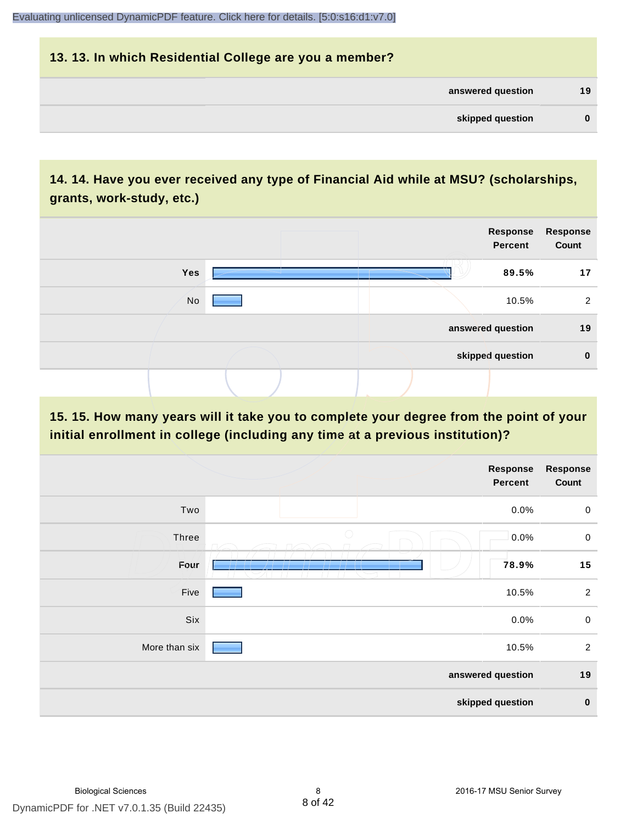# **13. 13. In which Residential College are you a member? answered question 19 skipped question 0**

# **14. 14. Have you ever received any type of Financial Aid while at MSU? (scholarships, grants, work-study, etc.)**



# **15. 15. How many years will it take you to complete your degree from the point of your initial enrollment in college (including any time at a previous institution)?**

|               | <b>Response</b><br>Percent       | <b>Response</b><br>Count |
|---------------|----------------------------------|--------------------------|
| Two           | 0.0%                             | $\mathbf 0$              |
| Three         | $\bigcirc$<br>0.0%               | $\pmb{0}$                |
| Four          | 78.9%<br>_______________________ | 15                       |
| Five          | 10.5%                            | $\overline{2}$           |
| Six           | 0.0%                             | $\mathbf 0$              |
| More than six | 10.5%                            | $\overline{2}$           |
|               | answered question                | 19                       |
|               | skipped question                 | $\bf{0}$                 |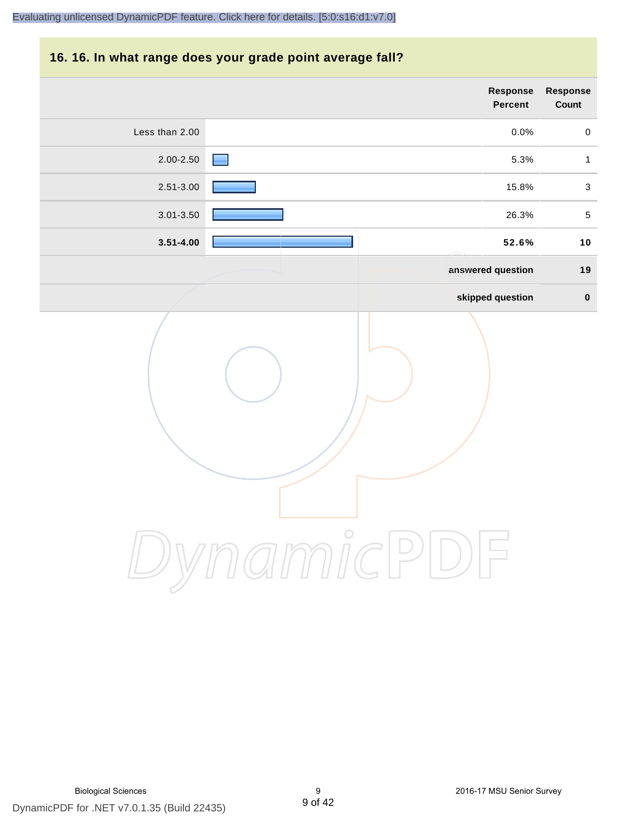#### **16. 16. In what range does your grade point average fall?**

| Response<br>Count | Response<br>Percent |                |
|-------------------|---------------------|----------------|
| $\mathbf 0$       | 0.0%                | Less than 2.00 |
| $\mathbf{1}$      | 5.3%                | $2.00 - 2.50$  |
| $\sqrt{3}$        | 15.8%               | 2.51-3.00      |
| $\,$ 5 $\,$       | 26.3%               | 3.01-3.50      |
| 10                | 52.6%               | $3.51 - 4.00$  |
| 19                | answered question   |                |
| $\pmb{0}$         | skipped question    |                |
|                   | $\int_{0}^{0}$      |                |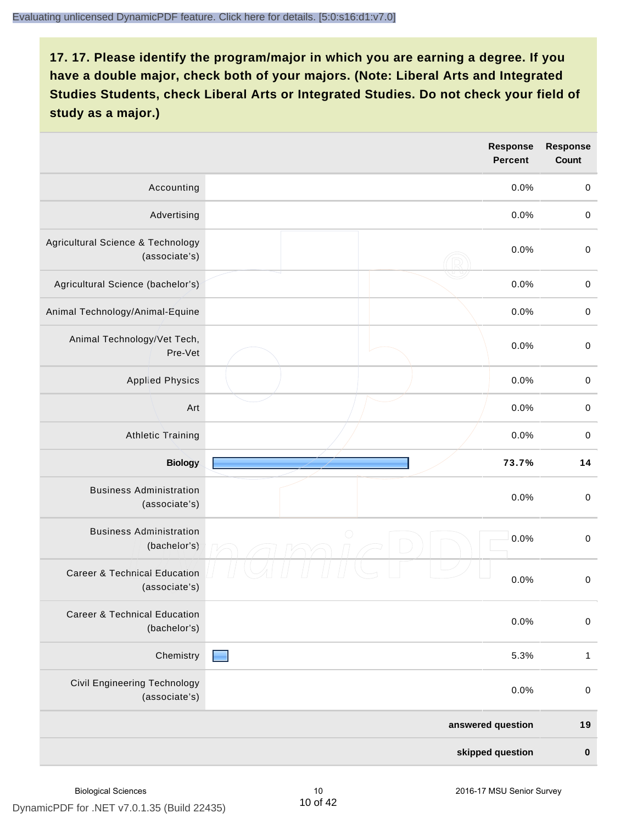|                                                          | <b>Response</b><br><b>Percent</b> | <b>Response</b><br>Count |
|----------------------------------------------------------|-----------------------------------|--------------------------|
| Accounting                                               | 0.0%                              | $\mathbf 0$              |
| Advertising                                              | 0.0%                              | $\,0\,$                  |
| Agricultural Science & Technology<br>(associate's)       | 0.0%                              | $\,0\,$                  |
| Agricultural Science (bachelor's)                        | 0.0%                              | $\mathbf 0$              |
| Animal Technology/Animal-Equine                          | 0.0%                              | $\,0\,$                  |
| Animal Technology/Vet Tech,<br>Pre-Vet                   | 0.0%                              | $\mbox{O}$               |
| <b>Applied Physics</b>                                   | 0.0%                              | $\mathbf 0$              |
| Art                                                      | 0.0%                              | $\mathbf 0$              |
| <b>Athletic Training</b>                                 | 0.0%                              | $\pmb{0}$                |
| <b>Biology</b>                                           | 73.7%                             | 14                       |
| <b>Business Administration</b><br>(associate's)          | 0.0%                              | $\pmb{0}$                |
| <b>Business Administration</b><br>(bachelor's)           | $\bigcirc$<br>0.0%                | $\mathbf 0$              |
| <b>Career &amp; Technical Education</b><br>(associate's) | 0.0%                              | $\mathbf 0$              |
| <b>Career &amp; Technical Education</b><br>(bachelor's)  | 0.0%                              | $\mathbf 0$              |
| Chemistry                                                | 5.3%                              | $\mathbf{1}$             |
| <b>Civil Engineering Technology</b><br>(associate's)     | 0.0%                              | $\mathbf 0$              |
|                                                          | answered question                 | 19                       |
|                                                          | skipped question                  | $\pmb{0}$                |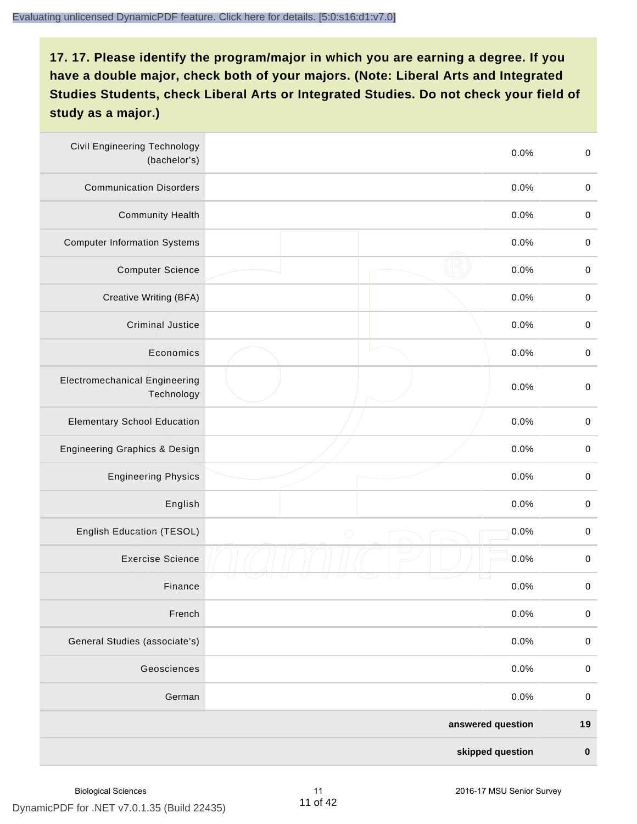| <b>Civil Engineering Technology</b><br>(bachelor's) |                   | $\mbox{O}$<br>0.0%  |
|-----------------------------------------------------|-------------------|---------------------|
| <b>Communication Disorders</b>                      |                   | 0.0%<br>$\mathbf 0$ |
| <b>Community Health</b>                             |                   | $\,0\,$<br>0.0%     |
| <b>Computer Information Systems</b>                 |                   | 0.0%<br>$\,0\,$     |
| <b>Computer Science</b>                             |                   | 0.0%<br>$\mathbf 0$ |
| Creative Writing (BFA)                              |                   | 0.0%<br>$\mathbf 0$ |
| <b>Criminal Justice</b>                             |                   | 0.0%<br>$\mathbf 0$ |
| Economics                                           |                   | $\,0\,$<br>0.0%     |
| <b>Electromechanical Engineering</b><br>Technology  |                   | 0.0%<br>$\pmb{0}$   |
| <b>Elementary School Education</b>                  |                   | $\mathbf 0$<br>0.0% |
| <b>Engineering Graphics &amp; Design</b>            |                   | 0.0%<br>$\pmb{0}$   |
| <b>Engineering Physics</b>                          |                   | 0.0%<br>$\pmb{0}$   |
| English                                             |                   | 0.0%<br>$\pmb{0}$   |
| English Education (TESOL)                           | $\bigcirc$        | 0.0%<br>$\mathbf 0$ |
| <b>Exercise Science</b>                             |                   | 0.0%<br>$\pmb{0}$   |
| Finance                                             |                   | 0.0%<br>$\,0\,$     |
| French                                              |                   | 0.0%<br>$\pmb{0}$   |
| General Studies (associate's)                       |                   | 0.0%<br>$\mathbf 0$ |
| Geosciences                                         |                   | 0.0%<br>$\mathbf 0$ |
| German                                              |                   | 0.0%<br>$\mathbf 0$ |
|                                                     | answered question | 19                  |
|                                                     | skipped question  | $\pmb{0}$           |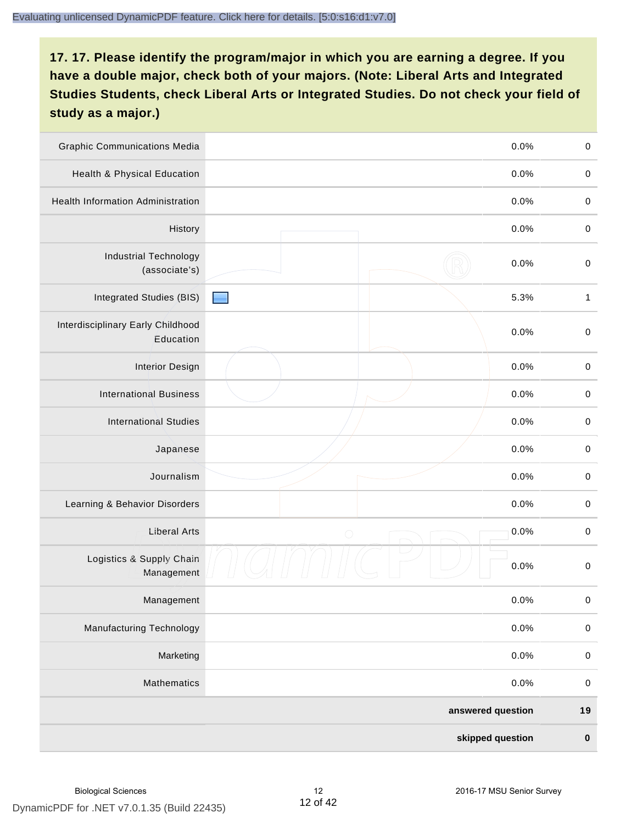| <b>Graphic Communications Media</b>            |            | 0.0%              | $\mathbf 0$  |
|------------------------------------------------|------------|-------------------|--------------|
| <b>Health &amp; Physical Education</b>         |            | 0.0%              | $\mathbf 0$  |
| <b>Health Information Administration</b>       |            | 0.0%              | $\pmb{0}$    |
| History                                        |            | 0.0%              | $\mathbf 0$  |
| <b>Industrial Technology</b><br>(associate's)  |            | 0.0%              | $\mathbf 0$  |
| Integrated Studies (BIS)                       |            | 5.3%              | $\mathbf{1}$ |
| Interdisciplinary Early Childhood<br>Education |            | 0.0%              | $\mathbf 0$  |
| <b>Interior Design</b>                         |            | 0.0%              | $\mathbf 0$  |
| <b>International Business</b>                  |            | 0.0%              | $\mathbf 0$  |
| <b>International Studies</b>                   |            | 0.0%              | $\pmb{0}$    |
| Japanese                                       |            | 0.0%              | $\mathbf 0$  |
| Journalism                                     |            | 0.0%              | $\pmb{0}$    |
| Learning & Behavior Disorders                  |            | 0.0%              | $\mathbf 0$  |
| <b>Liberal Arts</b>                            | $\bigcirc$ | 0.0%              | $\mathbf 0$  |
| Logistics & Supply Chain<br>Management         |            | 0.0%              | $\mathbf 0$  |
| Management                                     |            | 0.0%              | $\pmb{0}$    |
| <b>Manufacturing Technology</b>                |            | 0.0%              | $\pmb{0}$    |
| Marketing                                      |            | 0.0%              | $\mathbf 0$  |
| Mathematics                                    |            | 0.0%              | $\,0\,$      |
|                                                |            | answered question | $19$         |
|                                                |            | skipped question  | $\pmb{0}$    |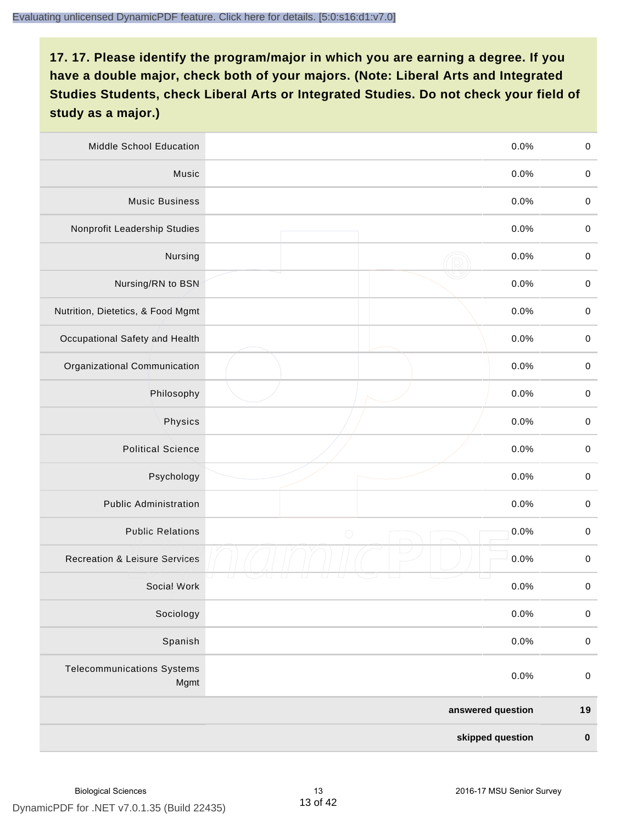| Middle School Education                   |                   | 0.0%             | $\mathbf 0$ |
|-------------------------------------------|-------------------|------------------|-------------|
| Music                                     |                   | 0.0%             | $\mathbf 0$ |
| <b>Music Business</b>                     |                   | 0.0%             | $\pmb{0}$   |
| Nonprofit Leadership Studies              |                   | 0.0%             | $\mathbf 0$ |
| Nursing                                   |                   | 0.0%             | $\mathbf 0$ |
| Nursing/RN to BSN                         |                   | 0.0%             | $\,0\,$     |
| Nutrition, Dietetics, & Food Mgmt         |                   | 0.0%             | $\mathbf 0$ |
| Occupational Safety and Health            |                   | 0.0%             | $\mathbf 0$ |
| Organizational Communication              |                   | 0.0%             | $\mathbf 0$ |
| Philosophy                                |                   | 0.0%             | $\mathbf 0$ |
| Physics                                   |                   | 0.0%             | $\,0\,$     |
| <b>Political Science</b>                  |                   | 0.0%             | $\mathbf 0$ |
| Psychology                                |                   | 0.0%             | $\mathbf 0$ |
| <b>Public Administration</b>              |                   | 0.0%             | $\pmb{0}$   |
| <b>Public Relations</b>                   | $\bigcirc$        | 0.0%             | $\pmb{0}$   |
| <b>Recreation &amp; Leisure Services</b>  |                   | 0.0%             | $\pmb{0}$   |
| Social Work                               |                   | 0.0%             | $\pmb{0}$   |
| Sociology                                 |                   | 0.0%             | $\mathbf 0$ |
| Spanish                                   |                   | 0.0%             | $\pmb{0}$   |
| <b>Telecommunications Systems</b><br>Mgmt |                   | 0.0%             | $\pmb{0}$   |
|                                           | answered question |                  | $19$        |
|                                           |                   | skipped question | $\pmb{0}$   |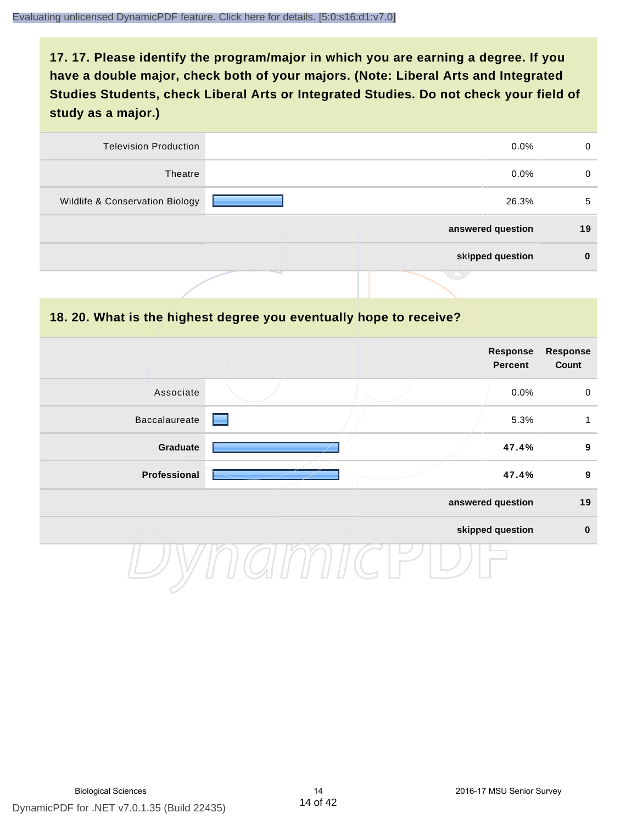| <b>Television Production</b>    | $0.0\%$           | 0  |
|---------------------------------|-------------------|----|
| Theatre                         | $0.0\%$           | 0  |
| Wildlife & Conservation Biology | 26.3%             | 5  |
|                                 | answered question | 19 |
|                                 | skipped question  |    |
|                                 | マン                |    |

#### **18. 20. What is the highest degree you eventually hope to receive?**

|               | <b>Response</b><br>Percent |                   | <b>Response</b><br>Count |
|---------------|----------------------------|-------------------|--------------------------|
| Associate     |                            | 0.0%              | $\mathbf 0$              |
| Baccalaureate |                            | 5.3%              | 1                        |
| Graduate      |                            | 47.4%             | $\boldsymbol{9}$         |
| Professional  |                            | 47.4%             | $\boldsymbol{9}$         |
|               |                            | answered question | 19                       |
|               |                            | skipped question  | $\mathbf 0$              |
|               |                            |                   |                          |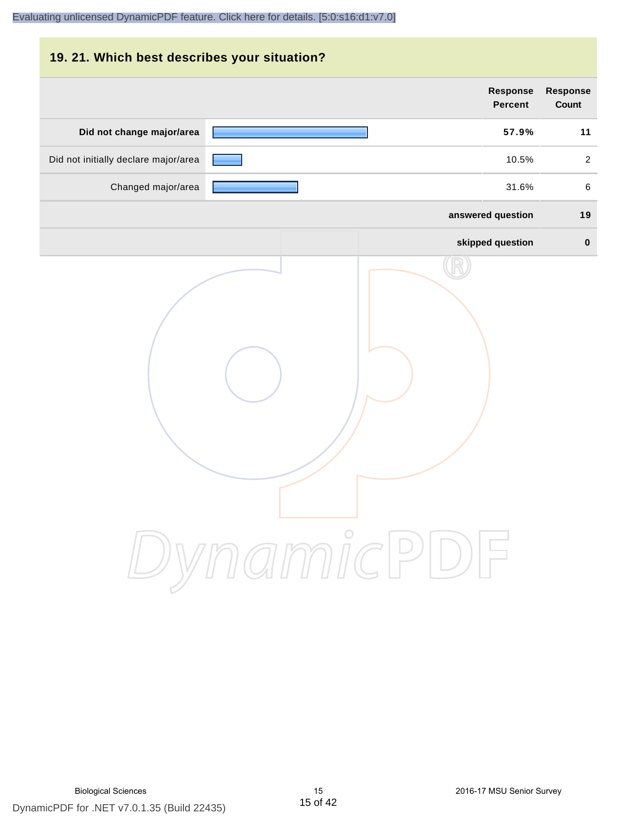|                                 |                                   |            | 19. 21. Which best describes your situation? |
|---------------------------------|-----------------------------------|------------|----------------------------------------------|
| <b>Response</b><br><b>Count</b> | <b>Response</b><br><b>Percent</b> |            |                                              |
| 11                              | 57.9%                             |            | Did not change major/area                    |
| 2                               | 10.5%                             |            | Did not initially declare major/area         |
| 6                               | 31.6%                             |            | Changed major/area                           |
| 19                              | answered question                 |            |                                              |
| $\mathbf 0$                     | skipped question                  |            |                                              |
|                                 |                                   | DynamicPDF |                                              |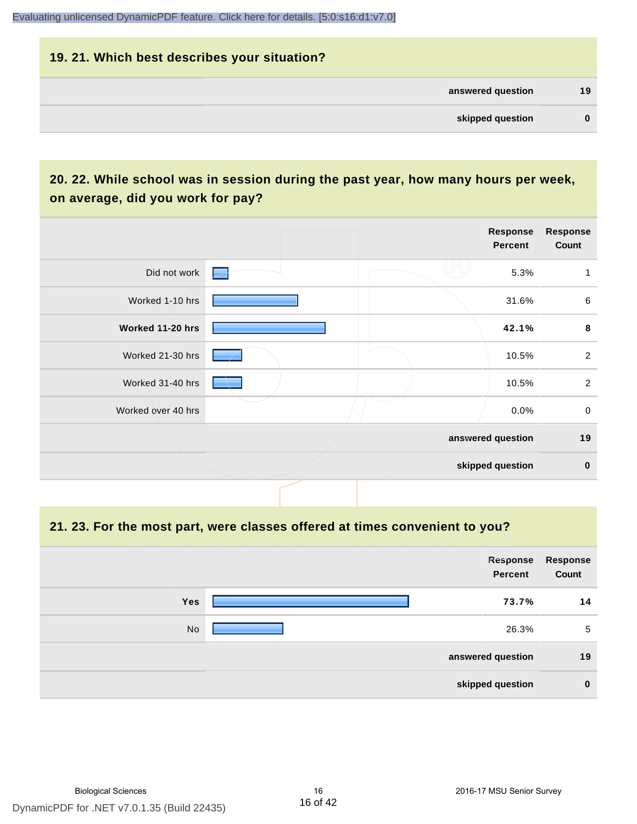# **19. 21. Which best describes your situation? answered question 19 skipped question 0**

# **20. 22. While school was in session during the past year, how many hours per week, on average, did you work for pay?**

|                    |  | <b>Response</b><br>Percent | <b>Response</b><br>Count |
|--------------------|--|----------------------------|--------------------------|
| Did not work       |  | 5.3%                       | 1                        |
| Worked 1-10 hrs    |  | 31.6%                      | $\,6\,$                  |
| Worked 11-20 hrs   |  | 42.1%                      | 8                        |
| Worked 21-30 hrs   |  | 10.5%                      | $\overline{2}$           |
| Worked 31-40 hrs   |  | 10.5%                      | $\overline{2}$           |
| Worked over 40 hrs |  | $0.0\%$                    | $\mathsf{O}\xspace$      |
|                    |  | answered question          | 19                       |
|                    |  | skipped question           | $\mathbf 0$              |

**21. 23. For the most part, were classes offered at times convenient to you?**

|            | Response<br>Percent | Response<br>Count |
|------------|---------------------|-------------------|
| <b>Yes</b> | 73.7%               | 14                |
| No         | 26.3%               | 5                 |
|            | answered question   | 19                |
|            | skipped question    | $\mathbf 0$       |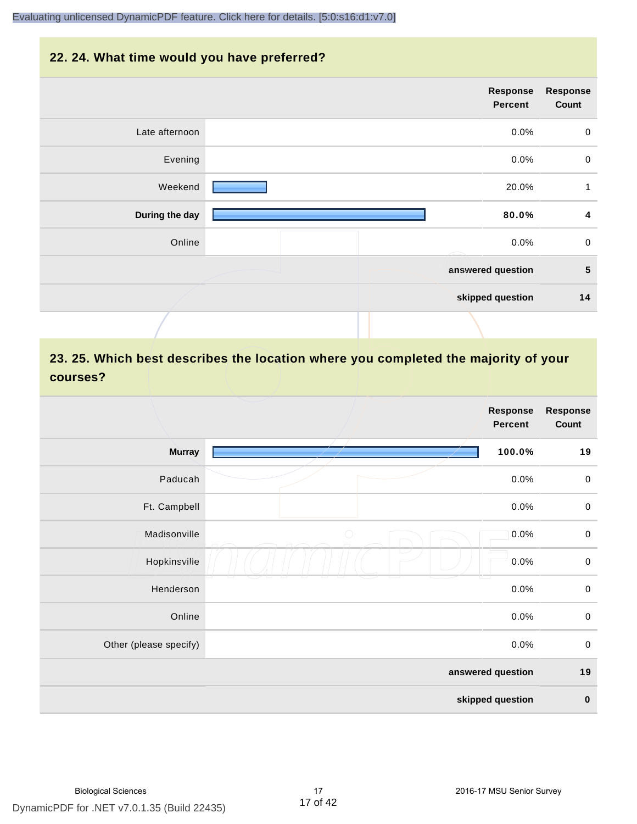#### **22. 24. What time would you have preferred?**

| <b>Response</b><br>Count | Response<br><b>Percent</b> |                |
|--------------------------|----------------------------|----------------|
| $\pmb{0}$                | 0.0%                       | Late afternoon |
| $\pmb{0}$                | 0.0%                       | Evening        |
| 1                        | 20.0%                      | Weekend        |
| 4                        | 80.0%                      | During the day |
| $\pmb{0}$                | 0.0%                       | Online         |
| $5\phantom{.0}$          | answered question          |                |
| 14                       | skipped question           |                |
|                          |                            |                |

# **23. 25. Which best describes the location where you completed the majority of your courses?**

|                        |            | <b>Response</b><br>Percent | <b>Response</b><br>Count |
|------------------------|------------|----------------------------|--------------------------|
| <b>Murray</b>          |            | 100.0%                     | 19                       |
| Paducah                |            | 0.0%                       | $\mathbf 0$              |
| Ft. Campbell           |            | 0.0%                       | $\pmb{0}$                |
| Madisonville           | $\bigcirc$ | 0.0%                       | $\mathbf 0$              |
| Hopkinsville           |            | 0.0%                       | $\mathbf 0$              |
| Henderson              |            | 0.0%                       | $\mathbf 0$              |
| Online                 |            | 0.0%                       | $\pmb{0}$                |
| Other (please specify) |            | 0.0%                       | $\mathbf 0$              |
|                        |            | answered question          | 19                       |
|                        |            | skipped question           | $\pmb{0}$                |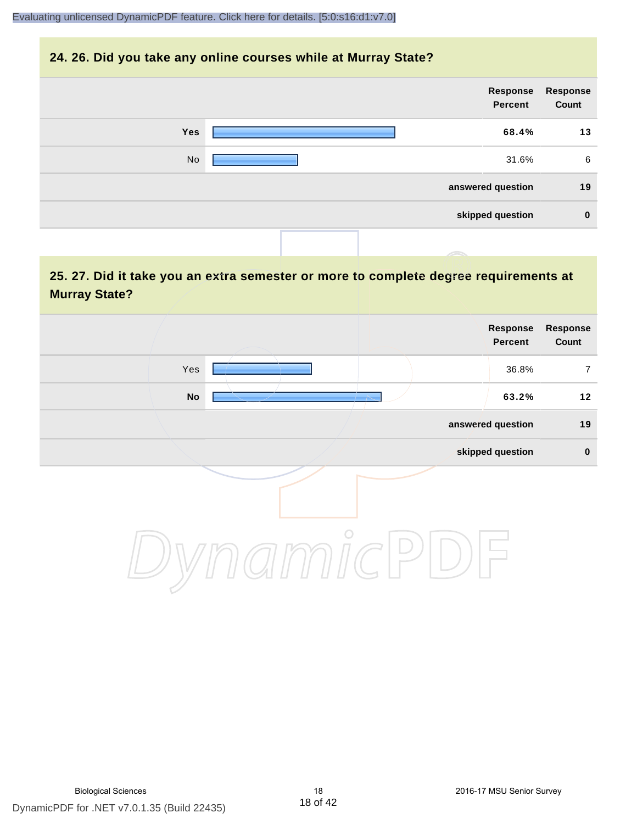#### **24. 26. Did you take any online courses while at Murray State?**

| Response<br>Count | Response<br>Percent |            |
|-------------------|---------------------|------------|
| 13                | 68.4%               | <b>Yes</b> |
| 6                 | 31.6%               | No         |
| 19                | answered question   |            |
| $\bf{0}$          | skipped question    |            |
|                   |                     |            |

**25. 27. Did it take you an extra semester or more to complete degree requirements at Murray State?**

| Response<br>Count | Response<br>Percent |         |     |  |
|-------------------|---------------------|---------|-----|--|
| $\overline{7}$    | 36.8%               |         | Yes |  |
| $12$              | 63.2%               |         | No  |  |
| 19                | answered question   |         |     |  |
| $\pmb{0}$         | skipped question    |         |     |  |
|                   |                     | $\circ$ |     |  |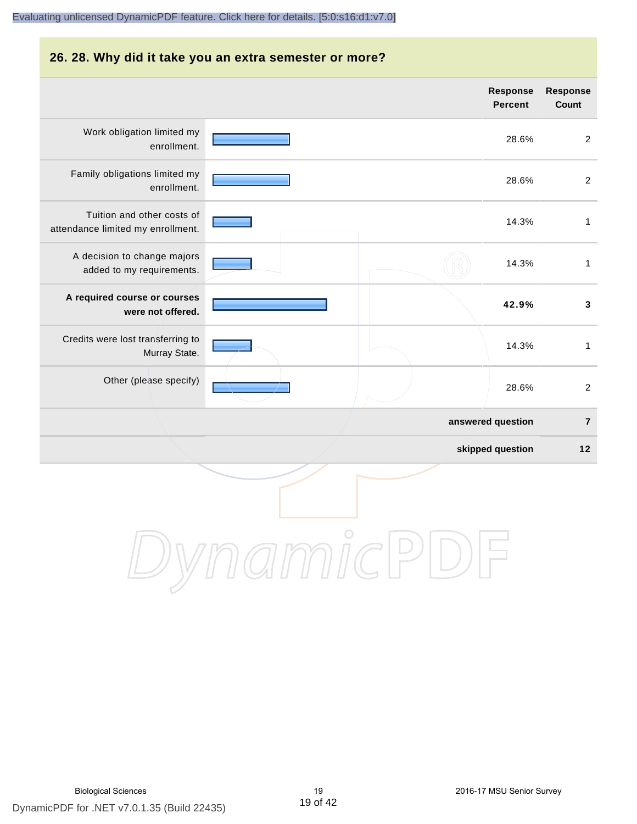#### **26. 28. Why did it take you an extra semester or more?**

|                                                                 |            | <b>Response</b><br><b>Percent</b> | <b>Response</b><br>Count |
|-----------------------------------------------------------------|------------|-----------------------------------|--------------------------|
| Work obligation limited my<br>enrollment.                       |            | 28.6%                             | $\overline{2}$           |
| Family obligations limited my<br>enrollment.                    |            | 28.6%                             | $\overline{2}$           |
| Tuition and other costs of<br>attendance limited my enrollment. |            | 14.3%                             | $\mathbf{1}$             |
| A decision to change majors<br>added to my requirements.        |            | 14.3%                             | 1                        |
| A required course or courses<br>were not offered.               |            | 42.9%                             | $\mathbf{3}$             |
| Credits were lost transferring to<br>Murray State.              |            | 14.3%                             | $\mathbf{1}$             |
| Other (please specify)                                          |            | 28.6%                             | $\overline{2}$           |
|                                                                 |            | answered question                 | $\bf 7$                  |
|                                                                 |            | skipped question                  | $12$                     |
|                                                                 | $\bigcirc$ |                                   |                          |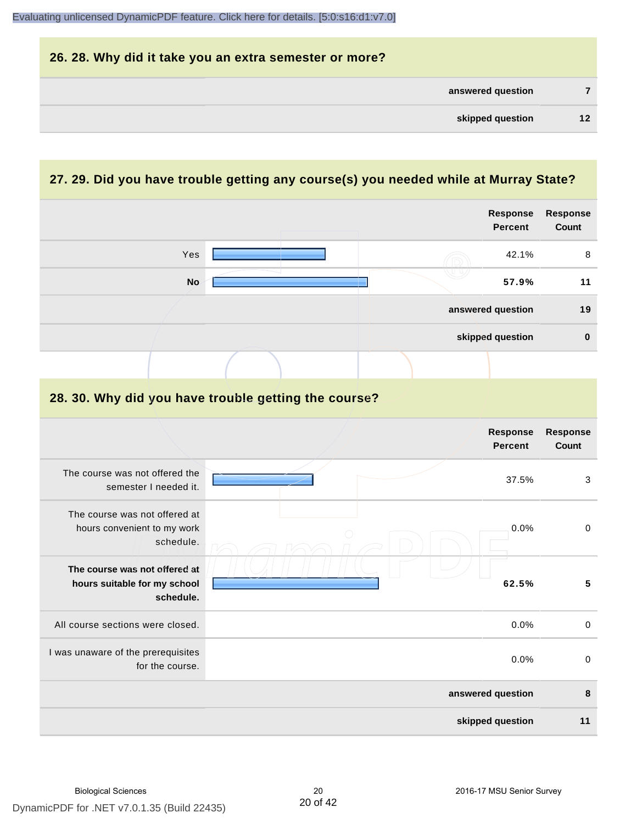|    |                   | 26. 28. Why did it take you an extra semester or more? |
|----|-------------------|--------------------------------------------------------|
|    | answered question |                                                        |
| 12 | skipped question  |                                                        |

# **27. 29. Did you have trouble getting any course(s) you needed while at Murray State?**

|                                                                            |                                                      | Response<br><b>Percent</b>        | <b>Response</b><br>Count |
|----------------------------------------------------------------------------|------------------------------------------------------|-----------------------------------|--------------------------|
| Yes                                                                        |                                                      | 42.1%                             | $\, 8$                   |
| <b>No</b>                                                                  |                                                      | 57.9%                             | 11                       |
|                                                                            |                                                      | answered question                 | 19                       |
|                                                                            |                                                      | skipped question                  | $\mathbf 0$              |
|                                                                            |                                                      |                                   |                          |
|                                                                            | 28. 30. Why did you have trouble getting the course? |                                   |                          |
|                                                                            |                                                      | <b>Response</b><br><b>Percent</b> | <b>Response</b><br>Count |
| The course was not offered the<br>semester I needed it.                    |                                                      | 37.5%                             | 3                        |
| The course was not offered at<br>hours convenient to my work<br>schedule.  |                                                      | 0.0%                              | $\boldsymbol{0}$         |
| The course was not offered at<br>hours suitable for my school<br>schedule. |                                                      | 62.5%                             | $5\phantom{a}$           |
| All course sections were closed.                                           |                                                      | 0.0%                              | $\boldsymbol{0}$         |
| I was unaware of the prerequisites<br>for the course.                      |                                                      | 0.0%                              | $\mathbf 0$              |
|                                                                            |                                                      | answered question                 | 8                        |
|                                                                            |                                                      | skipped question                  | 11                       |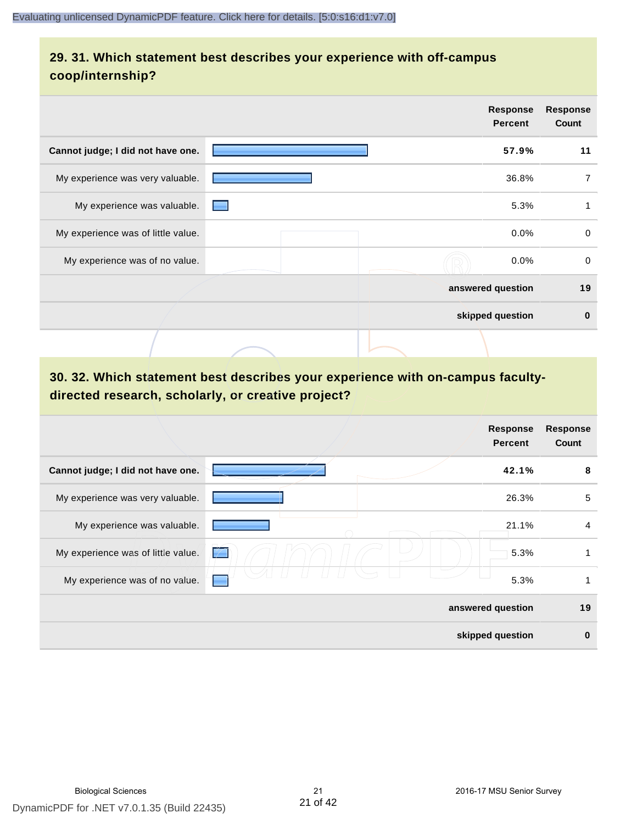# **29. 31. Which statement best describes your experience with off-campus coop/internship?**

|                                    | <b>Response</b><br><b>Percent</b> | <b>Response</b><br>Count |
|------------------------------------|-----------------------------------|--------------------------|
| Cannot judge; I did not have one.  | 57.9%                             | 11                       |
| My experience was very valuable.   | 36.8%                             | 7                        |
| My experience was valuable.        | 5.3%                              | 1                        |
| My experience was of little value. | 0.0%                              | $\mathbf 0$              |
| My experience was of no value.     | 0.0%                              | 0                        |
|                                    | answered question                 | 19                       |
|                                    | skipped question                  | $\bf{0}$                 |
|                                    |                                   |                          |

# **30. 32. Which statement best describes your experience with on-campus facultydirected research, scholarly, or creative project?**

|                                    |        | <b>Response</b><br><b>Percent</b> | <b>Response</b><br>Count |
|------------------------------------|--------|-----------------------------------|--------------------------|
| Cannot judge; I did not have one.  |        | 42.1%                             | 8                        |
| My experience was very valuable.   |        | 26.3%                             | 5                        |
| My experience was valuable.        |        | 21.1%                             | 4                        |
| My experience was of little value. | $\neq$ | 5.3%                              | 1                        |
| My experience was of no value.     |        | 5.3%                              | 1                        |
|                                    |        | answered question                 | 19                       |
|                                    |        | skipped question                  | $\bf{0}$                 |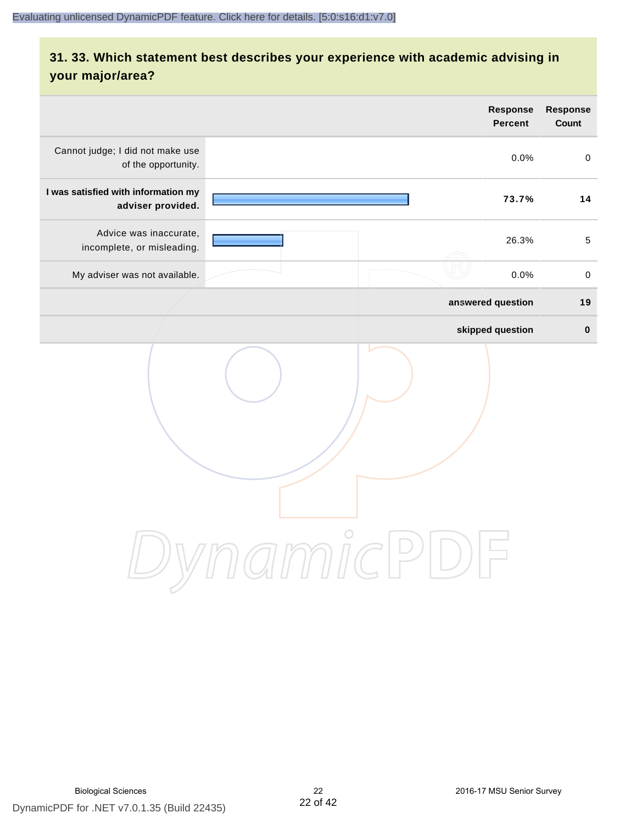# **31. 33. Which statement best describes your experience with academic advising in your major/area?**

|                                                          | <b>Response</b><br>Percent | Response<br>Count |
|----------------------------------------------------------|----------------------------|-------------------|
| Cannot judge; I did not make use<br>of the opportunity.  | 0.0%                       | $\mathsf 0$       |
| I was satisfied with information my<br>adviser provided. | 73.7%                      | 14                |
| Advice was inaccurate,<br>incomplete, or misleading.     | 26.3%                      | $\sqrt{5}$        |
| My adviser was not available.                            | 0.0%                       | $\,0\,$           |
|                                                          | answered question          | 19                |
|                                                          | skipped question           | $\pmb{0}$         |
|                                                          | amnicPl<br>$\Box$ )        |                   |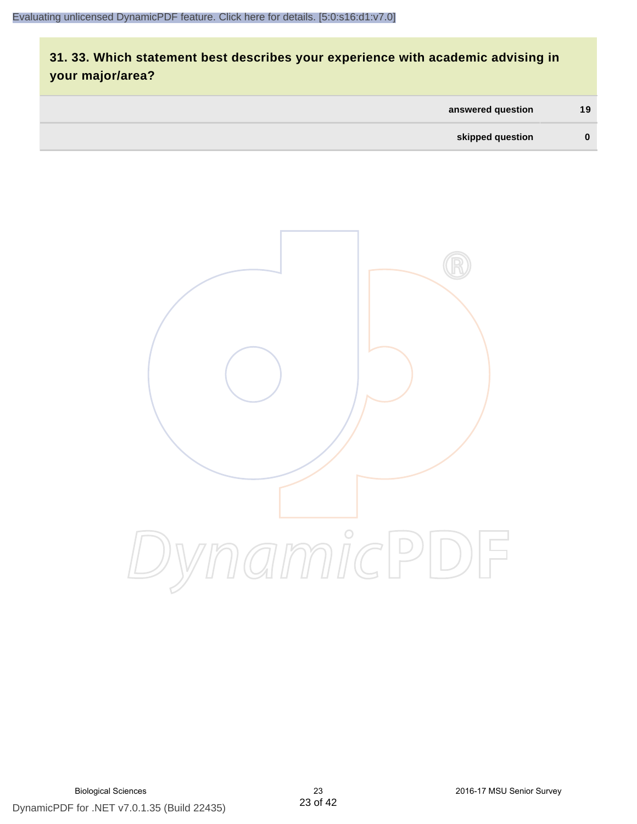# **31. 33. Which statement best describes your experience with academic advising in your major/area?**

| answered question | 19 <sup>7</sup> |
|-------------------|-----------------|
| skipped question  | $\bf{0}$        |

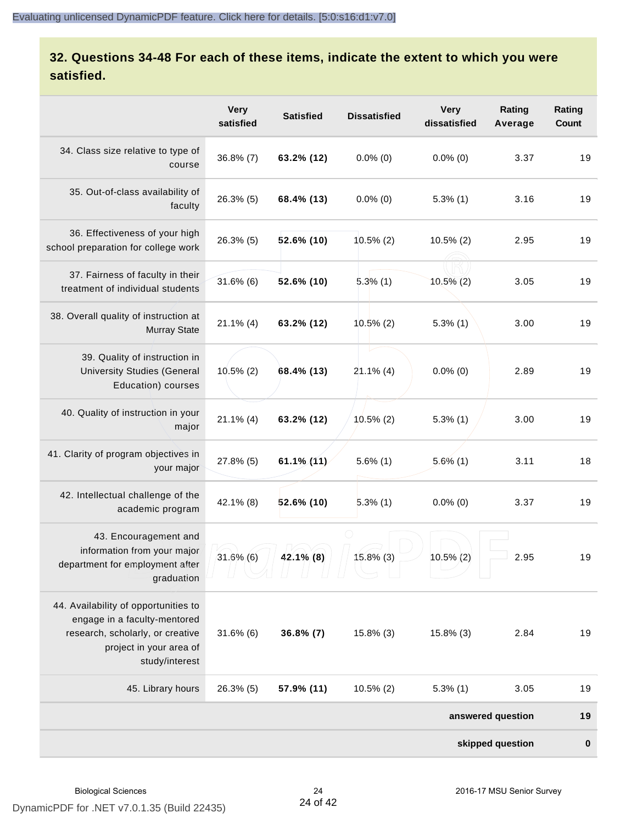# **32. Questions 34-48 For each of these items, indicate the extent to which you were satisfied.**

|                                                                                                                                                       | <b>Very</b><br>satisfied | <b>Satisfied</b>   | <b>Dissatisfied</b> | <b>Very</b><br>dissatisfied | Rating<br>Average | Rating<br>Count |
|-------------------------------------------------------------------------------------------------------------------------------------------------------|--------------------------|--------------------|---------------------|-----------------------------|-------------------|-----------------|
| 34. Class size relative to type of<br>course                                                                                                          | $36.8\%$ (7)             | 63.2% (12)         | $0.0\%$ (0)         | $0.0\%$ (0)                 | 3.37              | 19              |
| 35. Out-of-class availability of<br>faculty                                                                                                           | $26.3\%$ (5)             | 68.4% (13)         | $0.0\%$ (0)         | $5.3\%$ (1)                 | 3.16              | 19              |
| 36. Effectiveness of your high<br>school preparation for college work                                                                                 | $26.3\%$ (5)             | 52.6% (10)         | $10.5\%$ (2)        | $10.5\%$ (2)                | 2.95              | 19              |
| 37. Fairness of faculty in their<br>treatment of individual students                                                                                  | $31.6\%$ (6)             | 52.6% (10)         | $5.3\%$ (1)         | $10.5\%$ (2)                | 3.05              | 19              |
| 38. Overall quality of instruction at<br><b>Murray State</b>                                                                                          | $21.1\%$ (4)             | 63.2% (12)         | $10.5\%$ (2)        | $5.3\%$ (1)                 | 3.00              | 19              |
| 39. Quality of instruction in<br><b>University Studies (General</b><br>Education) courses                                                             | $10.5\%$ (2)             | 68.4% (13)         | $21.1\%$ (4)        | $0.0\%$ (0)                 | 2.89              | 19              |
| 40. Quality of instruction in your<br>major                                                                                                           | $21.1\%$ (4)             | 63.2% (12)         | $10.5\%$ (2)        | $5.3\%$ (1)                 | 3.00              | 19              |
| 41. Clarity of program objectives in<br>your major                                                                                                    | 27.8% (5)                | $61.1\frac{1}{11}$ | $5.6\%$ (1)         | $5.6\%$ (1)                 | 3.11              | 18              |
| 42. Intellectual challenge of the<br>academic program                                                                                                 | 42.1% (8)                | $52.6\%$ (10)      | $5.3\%$ (1)         | $0.0\%$ (0)                 | 3.37              | 19              |
| 43. Encouragement and<br>information from your major<br>department for employment after<br>graduation                                                 | $31.6\%$ (6)             | $42.1\%$ (8)       | 15.8% (3)           | 10.5% (2)                   | 2.95              | 19              |
| 44. Availability of opportunities to<br>engage in a faculty-mentored<br>research, scholarly, or creative<br>project in your area of<br>study/interest | $31.6\%$ (6)             | $36.8\% (7)$       | 15.8% (3)           | 15.8% (3)                   | 2.84              | 19              |
| 45. Library hours                                                                                                                                     | 26.3% (5)                | 57.9% (11)         | $10.5\%$ (2)        | $5.3\%$ (1)                 | 3.05              | 19              |
|                                                                                                                                                       |                          |                    |                     |                             | answered question | 19              |
|                                                                                                                                                       |                          |                    |                     |                             | skipped question  | $\bf{0}$        |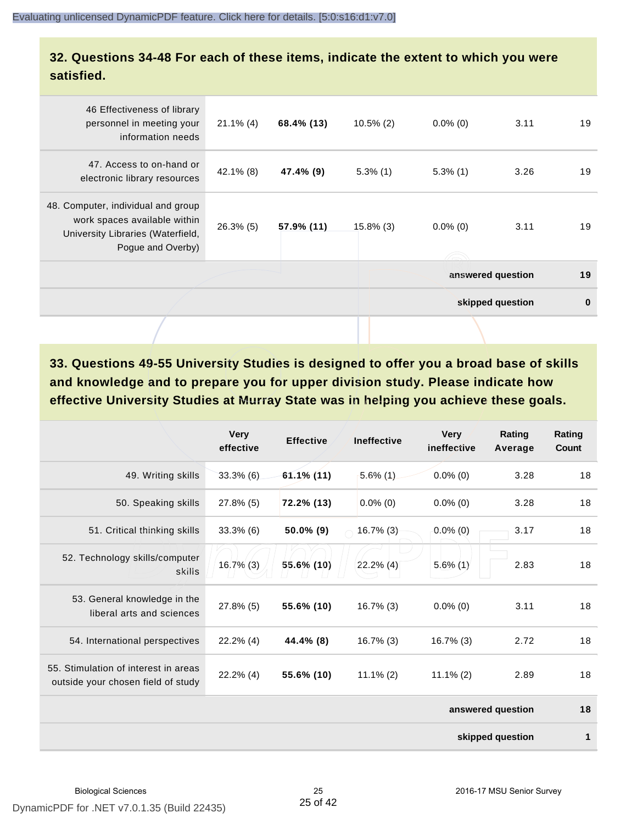### **32. Questions 34-48 For each of these items, indicate the extent to which you were satisfied.**

| 46 Effectiveness of library<br>personnel in meeting your<br>information needs                                                | $21.1\%$ (4) | 68.4% (13) | $10.5\%$ (2) | $0.0\%$ (0) | 3.11              | 19       |
|------------------------------------------------------------------------------------------------------------------------------|--------------|------------|--------------|-------------|-------------------|----------|
| 47. Access to on-hand or<br>electronic library resources                                                                     | $42.1\%$ (8) | 47.4% (9)  | $5.3\%$ (1)  | $5.3\%$ (1) | 3.26              | 19       |
| 48. Computer, individual and group<br>work spaces available within<br>University Libraries (Waterfield,<br>Pogue and Overby) | $26.3\%$ (5) | 57.9% (11) | $15.8\%$ (3) | $0.0\%$ (0) | 3.11              | 19       |
|                                                                                                                              |              |            |              |             | answered question | 19       |
|                                                                                                                              |              |            |              |             | skipped question  | $\bf{0}$ |
|                                                                                                                              |              |            |              |             |                   |          |

**33. Questions 49-55 University Studies is designed to offer you a broad base of skills and knowledge and to prepare you for upper division study. Please indicate how effective University Studies at Murray State was in helping you achieve these goals.**

|                                                                            | <b>Very</b><br>effective | <b>Effective</b> | <b>Ineffective</b> | <b>Very</b><br>ineffective | Rating<br>Average | Rating<br>Count |
|----------------------------------------------------------------------------|--------------------------|------------------|--------------------|----------------------------|-------------------|-----------------|
| 49. Writing skills                                                         | $33.3\%$ (6)             | $61.1\%$ (11)    | $5.6\%$ (1)        | $0.0\%$ (0)                | 3.28              | 18              |
| 50. Speaking skills                                                        | 27.8% (5)                | 72.2% (13)       | $0.0\%$ (0)        | $0.0\%$ (0)                | 3.28              | 18              |
| 51. Critical thinking skills                                               | $33.3\%$ (6)             | 50.0% (9)        | $16.7\%$ (3)       | $0.0\%$ (0)                | 3.17              | 18              |
| 52. Technology skills/computer<br>skills                                   | 16.7% (3)                | 55.6% (10)       | $22.2\%$ (4)       | $5.6\%$ (1)                | 2.83              | 18              |
| 53. General knowledge in the<br>liberal arts and sciences                  | 27.8% (5)                | 55.6% (10)       | $16.7\%$ (3)       | $0.0\%$ (0)                | 3.11              | 18              |
| 54. International perspectives                                             | $22.2\%$ (4)             | 44.4% (8)        | $16.7\%$ (3)       | $16.7\%$ (3)               | 2.72              | 18              |
| 55. Stimulation of interest in areas<br>outside your chosen field of study | $22.2\%$ (4)             | 55.6% (10)       | $11.1\% (2)$       | $11.1\% (2)$               | 2.89              | 18              |
|                                                                            |                          |                  |                    |                            | answered question | 18              |
|                                                                            |                          |                  |                    |                            | skipped question  | 1               |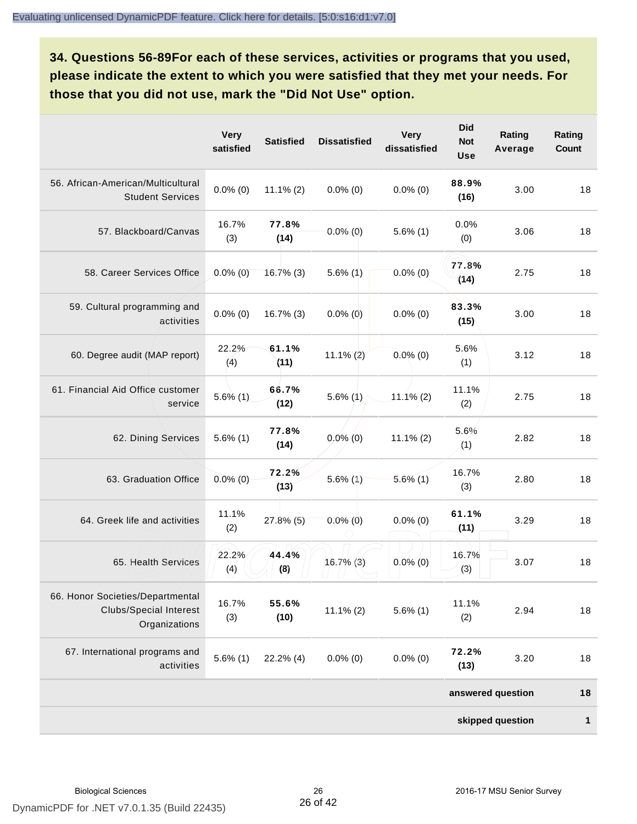**34. Questions 56-89For each of these services, activities or programs that you used, please indicate the extent to which you were satisfied that they met your needs. For those that you did not use, mark the "Did Not Use" option.**

|                                                                                    | <b>Very</b><br>satisfied | <b>Satisfied</b> | <b>Dissatisfied</b> | <b>Very</b><br>dissatisfied | <b>Did</b><br><b>Not</b><br><b>Use</b> | Rating<br>Average | Rating<br>Count |
|------------------------------------------------------------------------------------|--------------------------|------------------|---------------------|-----------------------------|----------------------------------------|-------------------|-----------------|
| 56. African-American/Multicultural<br><b>Student Services</b>                      | $0.0\%$ (0)              | $11.1\% (2)$     | $0.0\%$ (0)         | $0.0\%$ (0)                 | 88.9%<br>(16)                          | 3.00              | 18              |
| 57. Blackboard/Canvas                                                              | 16.7%<br>(3)             | 77.8%<br>(14)    | $0.0\%$ (0)         | $5.6\%$ (1)                 | 0.0%<br>(0)                            | 3.06              | 18              |
| 58. Career Services Office                                                         | $0.0\%$ (0)              | 16.7%(3)         | $5.6\%$ (1)         | $0.0\%$ (0)                 | 77.8%<br>(14)                          | 2.75              | 18              |
| 59. Cultural programming and<br>activities                                         | $0.0\%$ (0)              | $16.7\%$ (3)     | $0.0\%$ (0)         | $0.0\%$ (0)                 | 83.3%<br>(15)                          | 3.00              | 18              |
| 60. Degree audit (MAP report)                                                      | 22.2%<br>(4)             | 61.1%<br>(11)    | $11.1\%$ (2)        | $0.0\%$ (0)                 | 5.6%<br>(1)                            | 3.12              | 18              |
| 61. Financial Aid Office customer<br>service                                       | $5.6\%(1)$               | 66.7%<br>(12)    | $5.6\%$ (1)         | $11.1\%$ (2)                | 11.1%<br>(2)                           | 2.75              | 18              |
| 62. Dining Services                                                                | $5.6\%$ (1)              | 77.8%<br>(14)    | $0.0\%$ (0)         | $11.1\% (2)$                | 5.6%<br>(1)                            | 2.82              | 18              |
| 63. Graduation Office                                                              | $0.0\%$ (0)              | 72.2%<br>(13)    | $5.6\%$ (1)         | $5.6\%$ (1)                 | 16.7%<br>(3)                           | 2.80              | 18              |
| 64. Greek life and activities                                                      | 11.1%<br>(2)             | $27.8\%$ (5)     | $0.0\%$ (0)         | $0.0\%$ (0)                 | 61.1%<br>(11)                          | 3.29              | 18              |
| 65. Health Services                                                                | 22.2%<br>(4)             | 44.4%<br>(8)     | $16.7\%$ (3)        | $0.0\%$ (0)                 | 16.7%<br>(3)                           | 3.07              | 18              |
| 66. Honor Societies/Departmental<br><b>Clubs/Special Interest</b><br>Organizations | 16.7%<br>(3)             | 55.6%<br>(10)    | $11.1\% (2)$        | $5.6\%$ (1)                 | 11.1%<br>(2)                           | 2.94              | 18              |
| 67. International programs and<br>activities                                       | $5.6\%$ (1)              | $22.2\%$ (4)     | $0.0\%$ (0)         | $0.0\%$ (0)                 | 72.2%<br>(13)                          | 3.20              | 18              |
|                                                                                    |                          |                  |                     |                             |                                        | answered question | 18              |
|                                                                                    |                          |                  |                     |                             |                                        | skipped question  | $\mathbf{1}$    |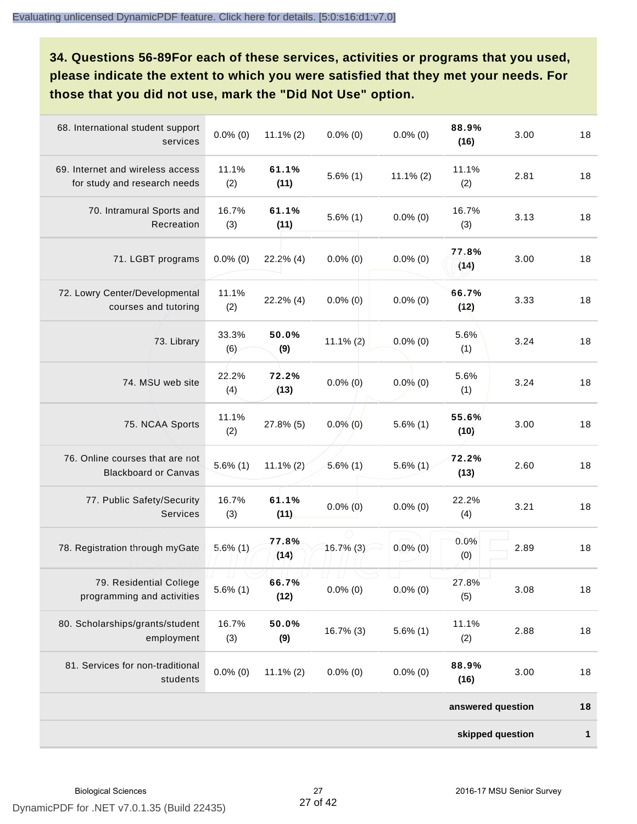**34. Questions 56-89For each of these services, activities or programs that you used, please indicate the extent to which you were satisfied that they met your needs. For those that you did not use, mark the "Did Not Use" option.**

| 68. International student support<br>services                    | $0.0\%$ (0)  | $11.1\% (2)$  | $0.0\%$ (0) | $0.0\%$ (0)  | 88.9%<br>(16)     | 3.00 | 18           |
|------------------------------------------------------------------|--------------|---------------|-------------|--------------|-------------------|------|--------------|
| 69. Internet and wireless access<br>for study and research needs | 11.1%<br>(2) | 61.1%<br>(11) | $5.6\%$ (1) | $11.1\% (2)$ | 11.1%<br>(2)      | 2.81 | 18           |
| 70. Intramural Sports and<br>Recreation                          | 16.7%<br>(3) | 61.1%<br>(11) | $5.6\%$ (1) | $0.0\%$ (0)  | 16.7%<br>(3)      | 3.13 | 18           |
| 71. LGBT programs                                                | $0.0\%$ (0)  | $22.2\%$ (4)  | $0.0\%$ (0) | $0.0\%$ (0)  | 77.8%<br>(14)     | 3.00 | 18           |
| 72. Lowry Center/Developmental<br>courses and tutoring           | 11.1%<br>(2) | 22.2% (4)     | $0.0\%$ (0) | $0.0\%$ (0)  | 66.7%<br>(12)     | 3.33 | 18           |
| 73. Library                                                      | 33.3%<br>(6) | 50.0%<br>(9)  | $11.1\%(2)$ | $0.0\%$ (0)  | 5.6%<br>(1)       | 3.24 | 18           |
| 74. MSU web site                                                 | 22.2%<br>(4) | 72.2%<br>(13) | $0.0\%$ (0) | $0.0\%$ (0)  | 5.6%<br>(1)       | 3.24 | 18           |
| 75. NCAA Sports                                                  | 11.1%<br>(2) | 27.8% (5)     | $0.0\%$ (0) | $5.6\%$ (1)  | 55.6%<br>(10)     | 3.00 | 18           |
| 76. Online courses that are not<br><b>Blackboard or Canvas</b>   | $5.6\%$ (1)  | $11.1\% (2)$  | $5.6\%$ (1) | $5.6\%$ (1)  | 72.2%<br>(13)     | 2.60 | 18           |
| 77. Public Safety/Security<br>Services                           | 16.7%<br>(3) | 61.1%<br>(11) | $0.0\%$ (0) | $0.0\%$ (0)  | 22.2%<br>(4)      | 3.21 | 18           |
| 78. Registration through myGate                                  | $5.6\%$ (1)  | 77.8%<br>(14) | 16.7% (3)   | $0.0\%$ (0)  | 0.0%<br>(0)       | 2.89 | 18           |
| 79. Residential College<br>programming and activities            | $5.6\%$ (1)  | 66.7%<br>(12) | $0.0\%$ (0) | $0.0\%$ (0)  | 27.8%<br>(5)      | 3.08 | 18           |
| 80. Scholarships/grants/student<br>employment                    | 16.7%<br>(3) | 50.0%<br>(9)  | 16.7% (3)   | $5.6\%$ (1)  | 11.1%<br>(2)      | 2.88 | 18           |
| 81. Services for non-traditional<br>students                     | $0.0\%$ (0)  | $11.1\% (2)$  | $0.0\%$ (0) | $0.0\%$ (0)  | 88.9%<br>(16)     | 3.00 | 18           |
|                                                                  |              |               |             |              | answered question |      | 18           |
|                                                                  |              |               |             |              | skipped question  |      | $\mathbf{1}$ |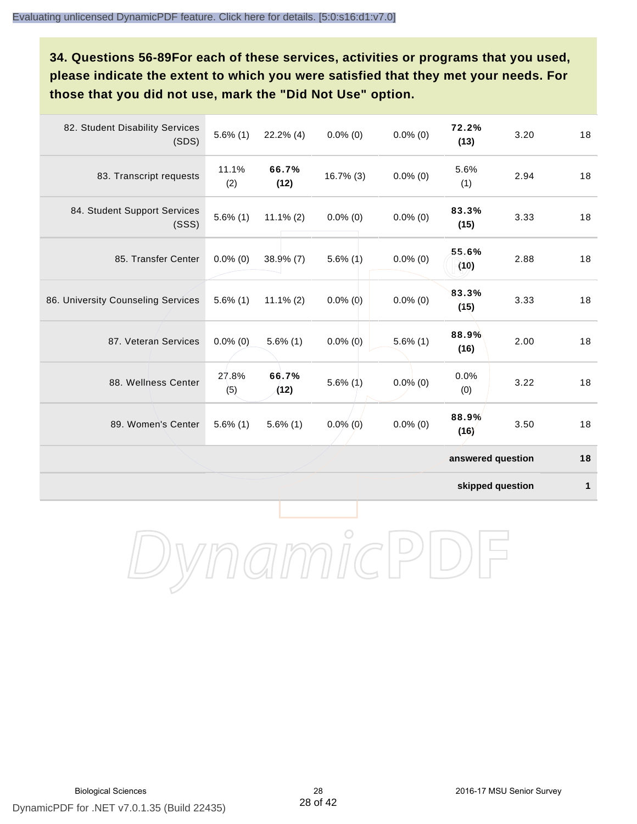**34. Questions 56-89For each of these services, activities or programs that you used, please indicate the extent to which you were satisfied that they met your needs. For those that you did not use, mark the "Did Not Use" option.**

| 82. Student Disability Services<br>(SDS) | $5.6\%$ (1)  | $22.2\%$ (4)  | $0.0\%$ (0)  | $0.0\%$ (0) | 72.2%<br>(13)     | 3.20 | 18 |
|------------------------------------------|--------------|---------------|--------------|-------------|-------------------|------|----|
| 83. Transcript requests                  | 11.1%<br>(2) | 66.7%<br>(12) | $16.7\%$ (3) | $0.0\%$ (0) | 5.6%<br>(1)       | 2.94 | 18 |
| 84. Student Support Services<br>(SSS)    | $5.6\%$ (1)  | $11.1\% (2)$  | $0.0\%$ (0)  | $0.0\%$ (0) | 83.3%<br>(15)     | 3.33 | 18 |
| 85. Transfer Center                      | $0.0\%$ (0)  | $38.9\%$ (7)  | $5.6\%$ (1)  | $0.0\%$ (0) | 55.6%<br>(10)     | 2.88 | 18 |
| 86. University Counseling Services       | $5.6\%$ (1)  | $11.1\%$ (2)  | $0.0\%$ (0)  | $0.0\%$ (0) | 83.3%<br>(15)     | 3.33 | 18 |
| 87. Veteran Services                     | $0.0\%$ (0)  | $5.6\%$ (1)   | $0.0\%$ (0)  | $5.6\%$ (1) | 88.9%<br>(16)     | 2.00 | 18 |
| 88. Wellness Center                      | 27.8%<br>(5) | 66.7%<br>(12) | $5.6\%$ (1)  | $0.0\%$ (0) | 0.0%<br>(0)       | 3.22 | 18 |
| 89. Women's Center                       | $5.6\%$ (1)  | $5.6\%$ (1)   | $0.0\%$ (0)  | $0.0\%$ (0) | 88.9%<br>(16)     | 3.50 | 18 |
|                                          |              |               |              |             | answered question |      | 18 |

**skipped question 1**

DynamicPDF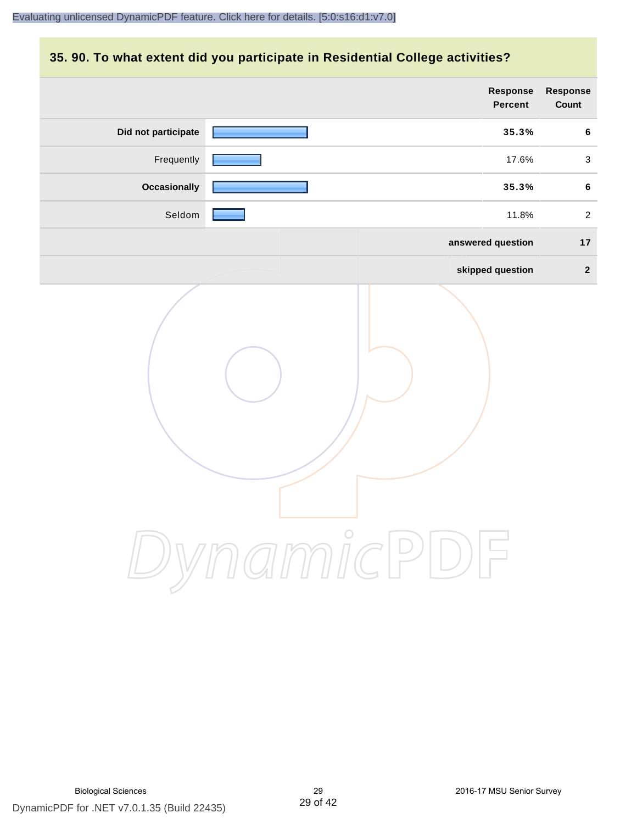# **35. 90. To what extent did you participate in Residential College activities?**

|                     | Response<br>Percent                  | Response<br>Count |
|---------------------|--------------------------------------|-------------------|
| Did not participate | 35.3%                                | $\bf 6$           |
| Frequently          | 17.6%                                | $\mathbf{3}$      |
| <b>Occasionally</b> | 35.3%                                | 6                 |
| Seldom              | 11.8%                                | $\overline{2}$    |
|                     | answered question                    | 17                |
|                     | skipped question                     | $\overline{2}$    |
|                     | ynamicPl<br>「        )        ,<br>」 |                   |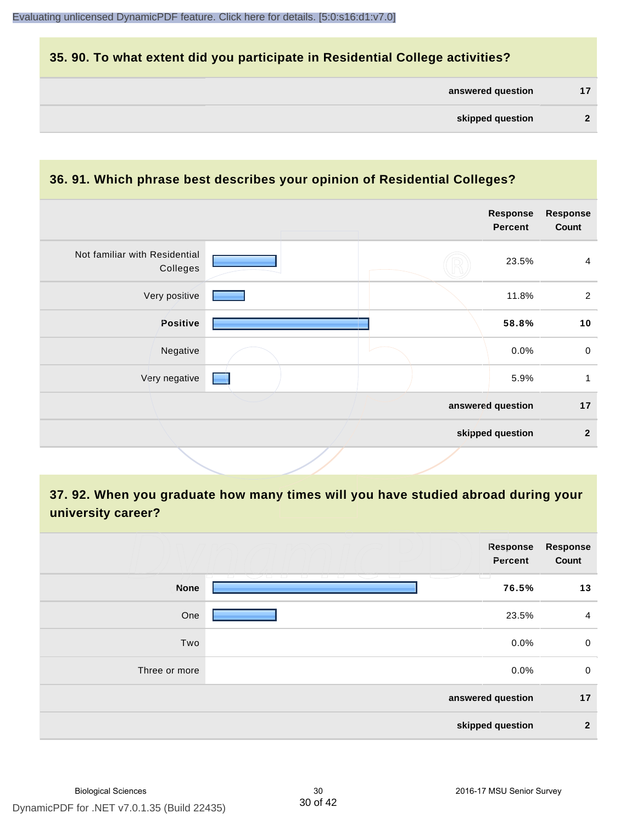# **35. 90. To what extent did you participate in Residential College activities?**

| answered question |  |  |
|-------------------|--|--|
|-------------------|--|--|

#### **36. 91. Which phrase best describes your opinion of Residential Colleges?**

| Not familiar with Residential<br>Colleges<br>Very positive<br>Positive | 23.5%             | $\overline{4}$ |
|------------------------------------------------------------------------|-------------------|----------------|
|                                                                        |                   |                |
|                                                                        | 11.8%             | 2              |
|                                                                        | 58.8%             | 10             |
| Negative                                                               | 0.0%              | $\mathbf 0$    |
| Very negative                                                          | 5.9%              | 1              |
|                                                                        | answered question | 17             |
|                                                                        | skipped question  | $\mathbf{2}$   |

# **37. 92. When you graduate how many times will you have studied abroad during your university career?**

|               | Response<br>Percent                                                 | <b>Response</b><br>Count |
|---------------|---------------------------------------------------------------------|--------------------------|
| <b>None</b>   | T.<br>12 - 13 - 13 - 13 - 13 -<br>____<br>- 12 - 12 - 12 -<br>76.5% | 13                       |
| One           | 23.5%                                                               | 4                        |
| Two           | 0.0%                                                                | $\mathbf 0$              |
| Three or more | 0.0%                                                                | $\mathbf 0$              |
|               | answered question                                                   | 17                       |
|               | skipped question                                                    | $\mathbf{2}$             |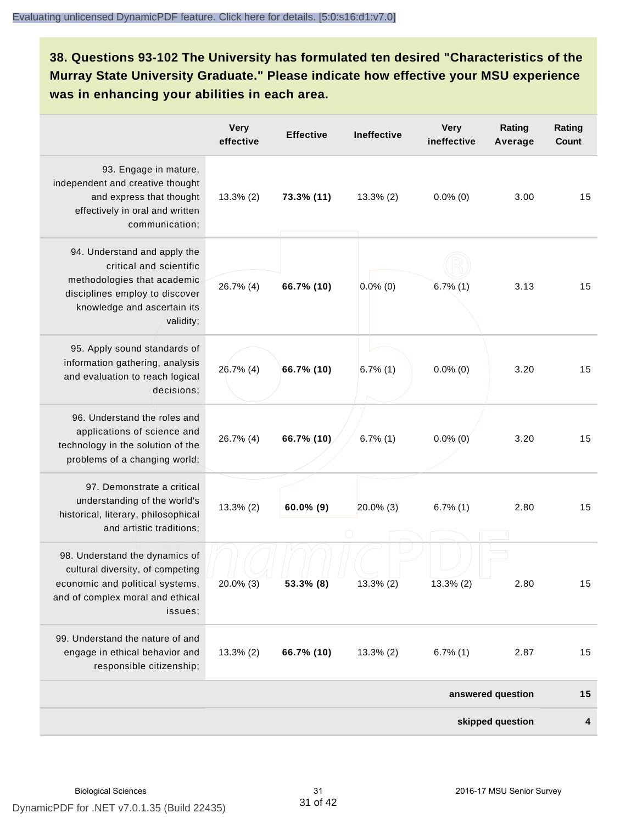**38. Questions 93-102 The University has formulated ten desired "Characteristics of the Murray State University Graduate." Please indicate how effective your MSU experience was in enhancing your abilities in each area.**

|                                                                                                                                                                      | <b>Very</b><br>effective | <b>Effective</b> | <b>Ineffective</b> | <b>Very</b><br>ineffective | Rating<br>Average | Rating<br>Count |
|----------------------------------------------------------------------------------------------------------------------------------------------------------------------|--------------------------|------------------|--------------------|----------------------------|-------------------|-----------------|
| 93. Engage in mature,<br>independent and creative thought<br>and express that thought<br>effectively in oral and written<br>communication;                           | $13.3\%$ (2)             | 73.3% (11)       | $13.3\%$ (2)       | $0.0\%$ (0)                | 3.00              | 15              |
| 94. Understand and apply the<br>critical and scientific<br>methodologies that academic<br>disciplines employ to discover<br>knowledge and ascertain its<br>validity; | 26.7% (4)                | 66.7% (10)       | $0.0\%$ (0)        | $6.7\%$ (1)                | 3.13              | 15              |
| 95. Apply sound standards of<br>information gathering, analysis<br>and evaluation to reach logical<br>decisions;                                                     | 26.7% (4)                | 66.7% (10)       | $6.7\%$ (1)        | $0.0\%$ (0)                | 3.20              | 15              |
| 96. Understand the roles and<br>applications of science and<br>technology in the solution of the<br>problems of a changing world;                                    | 26.7% (4)                | 66.7% (10)       | $6.7\%$ (1)        | $0.0\%$ (0)                | 3.20              | 15              |
| 97. Demonstrate a critical<br>understanding of the world's<br>historical, literary, philosophical<br>and artistic traditions;                                        | $13.3\%$ (2)             | $60.0\%$ (9)     | $20.0\%$ (3)       | $6.7\%$ (1)                | 2.80              | 15              |
| 98. Understand the dynamics of<br>cultural diversity, of competing<br>economic and political systems,<br>and of complex moral and ethical<br>issues;                 | 20.0% (3)                | $53.3\%$ (8)     | 13.3% (2)          | 13.3% (2)                  | 2.80              | 15              |
| 99. Understand the nature of and<br>engage in ethical behavior and<br>responsible citizenship;                                                                       | $13.3\%$ (2)             | 66.7% (10)       | $13.3\%$ (2)       | $6.7\%$ (1)                | 2.87              | 15              |
|                                                                                                                                                                      |                          |                  |                    |                            | answered question | 15              |
|                                                                                                                                                                      |                          |                  |                    |                            | skipped question  | 4               |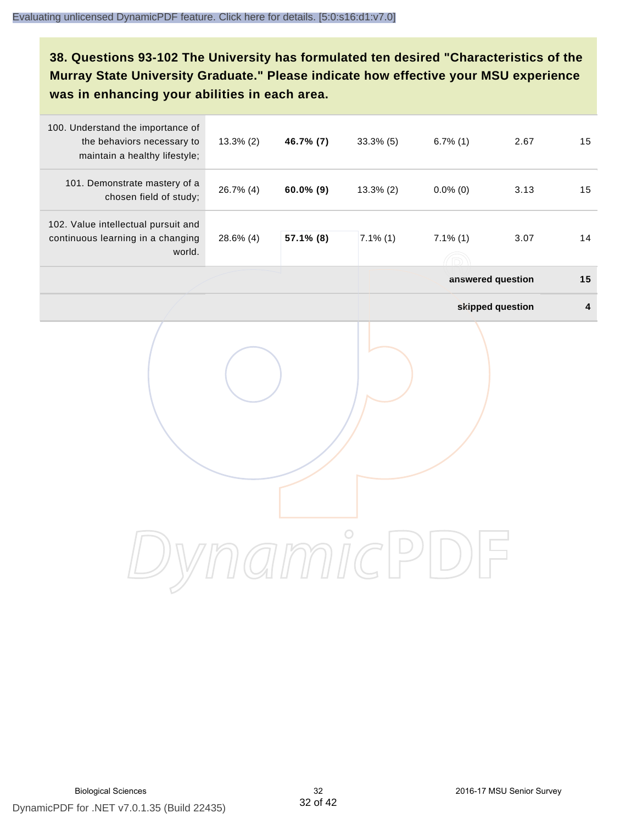**38. Questions 93-102 The University has formulated ten desired "Characteristics of the Murray State University Graduate." Please indicate how effective your MSU experience was in enhancing your abilities in each area.**

| 100. Understand the importance of<br>the behaviors necessary to<br>maintain a healthy lifestyle; | 13.3% (2) | 46.7% (7)    | $33.3\%$ (5) | $6.7\%$ (1)       | 2.67              | 15                      |
|--------------------------------------------------------------------------------------------------|-----------|--------------|--------------|-------------------|-------------------|-------------------------|
| 101. Demonstrate mastery of a<br>chosen field of study;                                          | 26.7% (4) | $60.0\%$ (9) | $13.3\%$ (2) | $0.0\%$ (0)       | 3.13              | 15                      |
| 102. Value intellectual pursuit and<br>continuous learning in a changing<br>world.               | 28.6% (4) | 57.1% (8)    | $7.1\%$ (1)  | $7.1\%$ (1)<br>76 | 3.07              | 14                      |
|                                                                                                  |           |              |              |                   | answered question | 15                      |
|                                                                                                  |           |              |              |                   | skipped question  | $\overline{\mathbf{4}}$ |
|                                                                                                  |           |              |              |                   |                   |                         |
|                                                                                                  |           |              |              |                   |                   |                         |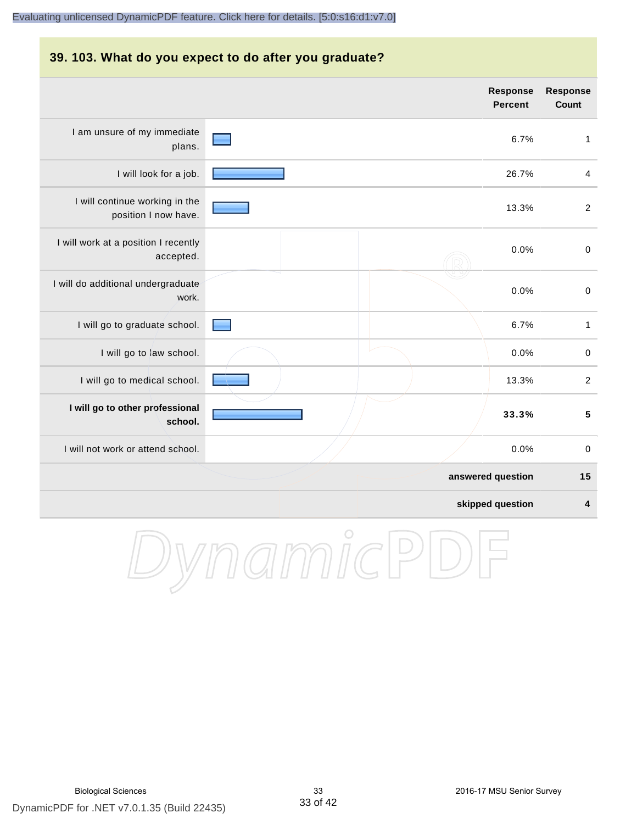#### **39. 103. What do you expect to do after you graduate?**

|                                                        | <b>Response</b><br><b>Percent</b> | <b>Response</b><br>Count |
|--------------------------------------------------------|-----------------------------------|--------------------------|
| I am unsure of my immediate<br>plans.                  | 6.7%                              | 1                        |
| I will look for a job.                                 | 26.7%                             | 4                        |
| I will continue working in the<br>position I now have. | 13.3%                             | $\overline{2}$           |
| I will work at a position I recently<br>accepted.      | 0.0%                              | $\mathbf 0$              |
| I will do additional undergraduate<br>work.            | 0.0%                              | $\,0\,$                  |
| I will go to graduate school.                          | 6.7%                              | $\mathbf{1}$             |
| I will go to law school.                               | 0.0%                              | $\mathbf 0$              |
| I will go to medical school.                           | 13.3%                             | $\overline{c}$           |
| I will go to other professional<br>school.             | 33.3%                             | $\overline{\mathbf{5}}$  |
| I will not work or attend school.                      | 0.0%                              | $\pmb{0}$                |
|                                                        | answered question                 | 15                       |
|                                                        | skipped question                  | 4                        |

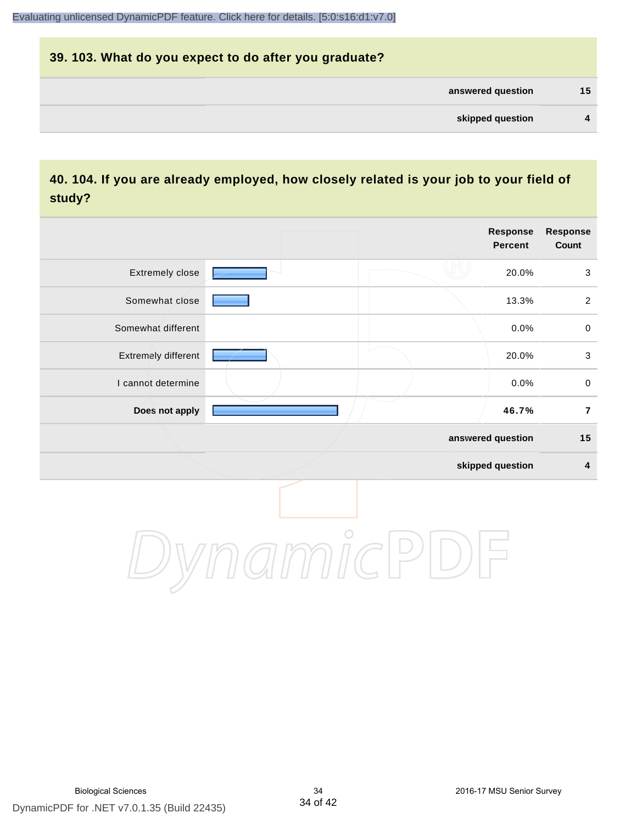# **39. 103. What do you expect to do after you graduate? answered question 15 skipped question 4**

# **40. 104. If you are already employed, how closely related is your job to your field of study?**

|                     |         | Response<br>Percent | Response<br>Count |
|---------------------|---------|---------------------|-------------------|
| Extremely close     |         | 20.0%               | $\sqrt{3}$        |
| Somewhat close      |         | 13.3%               | $\overline{2}$    |
| Somewhat different  |         | 0.0%                | $\pmb{0}$         |
| Extremely different |         | 20.0%               | $\mathbf{3}$      |
| I cannot determine  |         | 0.0%                | $\pmb{0}$         |
| Does not apply      |         | 46.7%               | $\overline{7}$    |
|                     |         | answered question   | 15                |
|                     |         | skipped question    | $\boldsymbol{4}$  |
|                     | $\circ$ |                     |                   |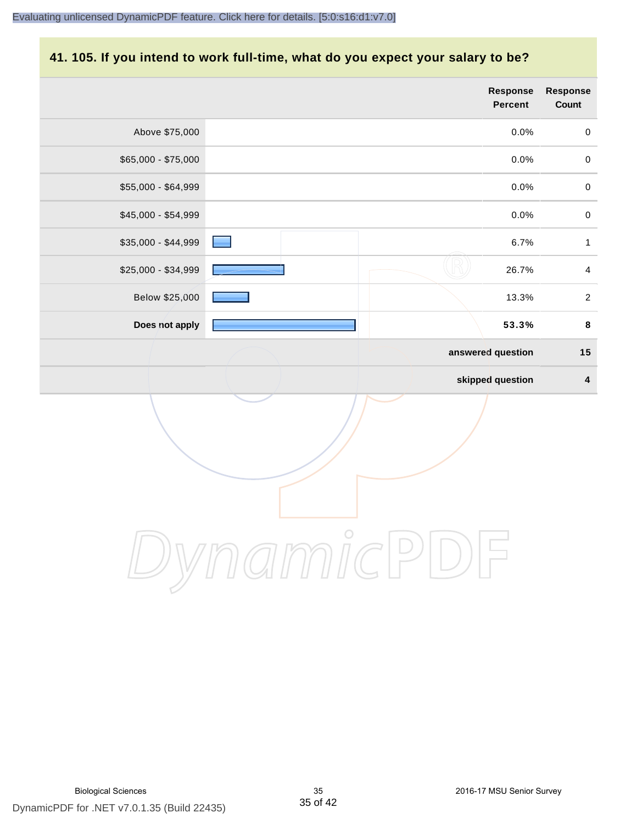# **41. 105. If you intend to work full-time, what do you expect your salary to be?**

|                     |            | Response<br>Percent | <b>Response</b><br>Count |
|---------------------|------------|---------------------|--------------------------|
| Above \$75,000      |            | 0.0%                | $\pmb{0}$                |
| \$65,000 - \$75,000 |            | 0.0%                | $\mathbf 0$              |
| \$55,000 - \$64,999 |            | 0.0%                | $\pmb{0}$                |
| \$45,000 - \$54,999 |            | 0.0%                | $\mathbf 0$              |
| \$35,000 - \$44,999 |            | 6.7%                | $\mathbf{1}$             |
| \$25,000 - \$34,999 |            | 26.7%               | $\overline{4}$           |
| Below \$25,000      |            | 13.3%               | $\overline{2}$           |
| Does not apply      |            | 53.3%               | $\pmb{8}$                |
|                     |            | answered question   | 15                       |
|                     |            | skipped question    | $\pmb{4}$                |
|                     |            |                     |                          |
|                     | $\bigcirc$ |                     |                          |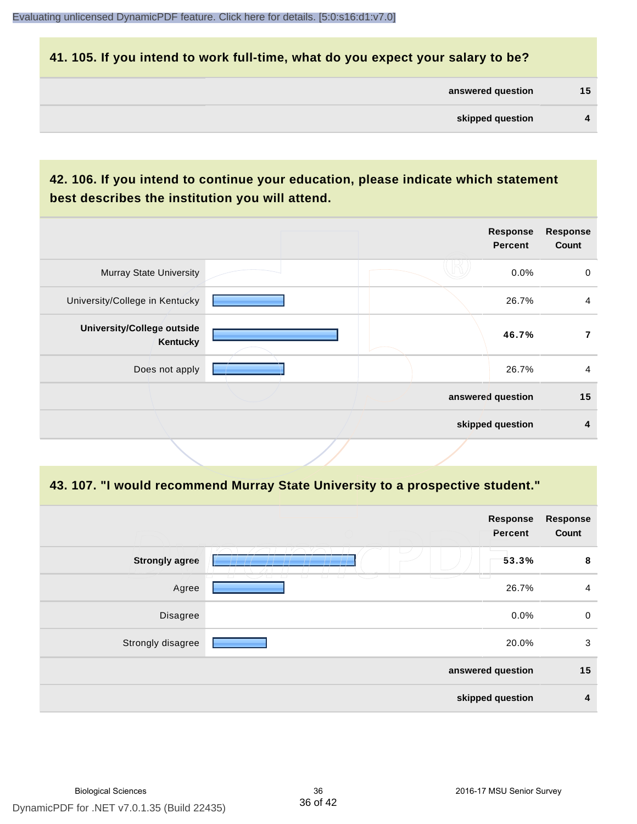#### **41. 105. If you intend to work full-time, what do you expect your salary to be?**

| answered question | 15 |
|-------------------|----|
|                   |    |

# **42. 106. If you intend to continue your education, please indicate which statement best describes the institution you will attend.**

|                                               |  | <b>Response</b><br><b>Percent</b> | <b>Response</b><br>Count |
|-----------------------------------------------|--|-----------------------------------|--------------------------|
| <b>Murray State University</b>                |  | 0.0%                              | 0                        |
| University/College in Kentucky                |  | 26.7%                             | $\overline{4}$           |
| <b>University/College outside</b><br>Kentucky |  | 46.7%                             | 7                        |
| Does not apply                                |  | 26.7%                             | 4                        |
|                                               |  | answered question                 | 15                       |
|                                               |  | skipped question                  | 4                        |
|                                               |  |                                   |                          |

#### **43. 107. "I would recommend Murray State University to a prospective student."**

| Response<br><b>Response</b><br>Count<br>Percent<br><b>Strongly agree</b><br>53.3%<br>8<br>-<br>Agree<br>26.7%<br>4<br>0.0%<br>$\mathbf 0$<br>Disagree<br>20.0%<br>Strongly disagree<br>3<br>15<br>answered question<br>skipped question<br>4 |  |  |
|----------------------------------------------------------------------------------------------------------------------------------------------------------------------------------------------------------------------------------------------|--|--|
|                                                                                                                                                                                                                                              |  |  |
|                                                                                                                                                                                                                                              |  |  |
|                                                                                                                                                                                                                                              |  |  |
|                                                                                                                                                                                                                                              |  |  |
|                                                                                                                                                                                                                                              |  |  |
|                                                                                                                                                                                                                                              |  |  |
|                                                                                                                                                                                                                                              |  |  |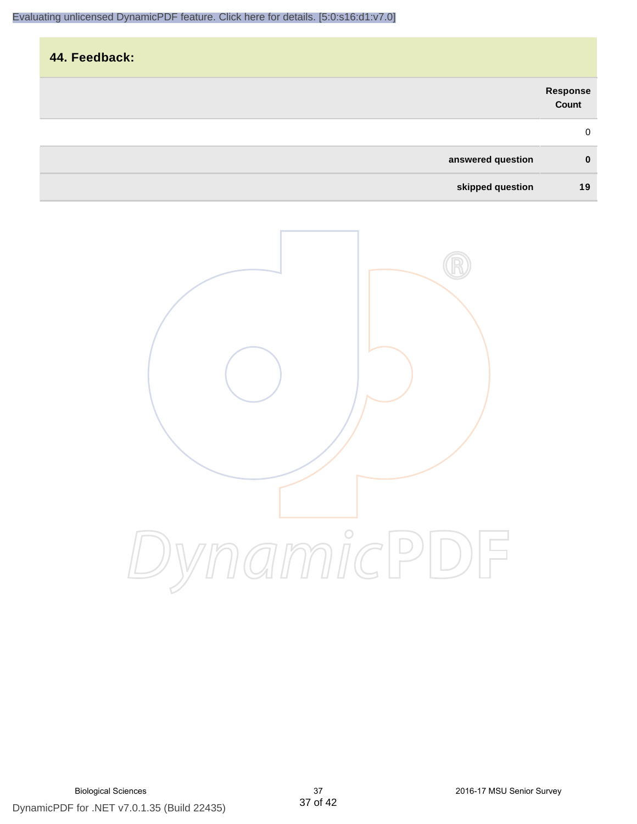|                   |                   | 44. Feedback: |
|-------------------|-------------------|---------------|
| Response<br>Count |                   |               |
| $\mathbf 0$       |                   |               |
| $\mathbf{0}$      | answered question |               |
| 19                | skipped question  |               |

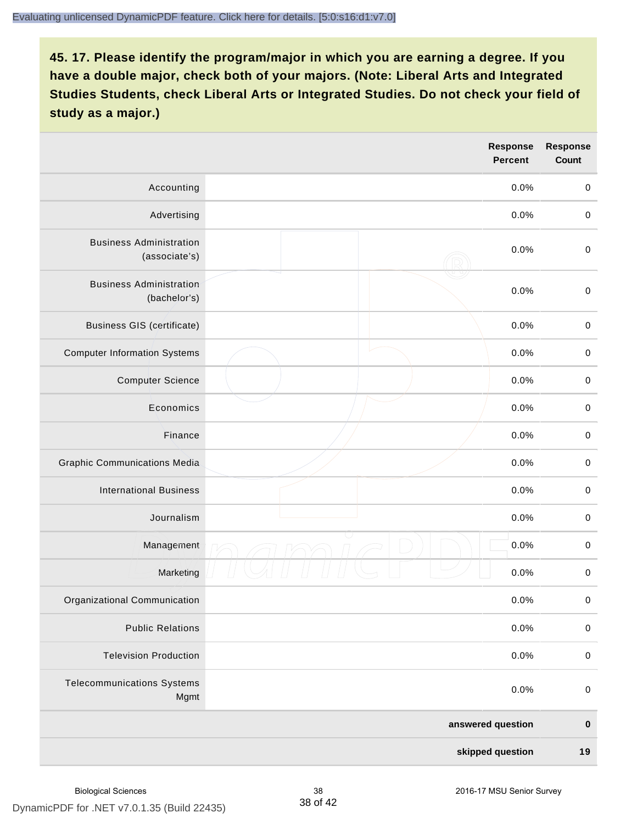|                                                 | <b>Response</b><br><b>Percent</b> | <b>Response</b><br>Count |
|-------------------------------------------------|-----------------------------------|--------------------------|
| Accounting                                      | 0.0%                              | $\mathbf 0$              |
| Advertising                                     | 0.0%                              | $\pmb{0}$                |
| <b>Business Administration</b><br>(associate's) | 0.0%                              | $\pmb{0}$                |
| <b>Business Administration</b><br>(bachelor's)  | 0.0%                              | $\pmb{0}$                |
| <b>Business GIS (certificate)</b>               | 0.0%                              | $\mathbf 0$              |
| <b>Computer Information Systems</b>             | 0.0%                              | $\pmb{0}$                |
| <b>Computer Science</b>                         | 0.0%                              | $\mathbf 0$              |
| Economics                                       | 0.0%                              | $\pmb{0}$                |
| Finance                                         | 0.0%                              | $\pmb{0}$                |
| <b>Graphic Communications Media</b>             | 0.0%                              | $\mathbf 0$              |
| <b>International Business</b>                   | 0.0%                              | $\pmb{0}$                |
| Journalism                                      | 0.0%                              | $\mathbf 0$              |
| Management                                      | 0.0%                              | $\pmb{0}$                |
| Marketing                                       | 0.0%                              | $\,0\,$                  |
| Organizational Communication                    | 0.0%                              | $\pmb{0}$                |
| <b>Public Relations</b>                         | 0.0%                              | $\mathbf 0$              |
| <b>Television Production</b>                    | 0.0%                              | $\mathsf 0$              |
| <b>Telecommunications Systems</b><br>Mgmt       | 0.0%                              | $\mathbf 0$              |
|                                                 | answered question                 | $\pmb{0}$                |
|                                                 | skipped question                  | 19                       |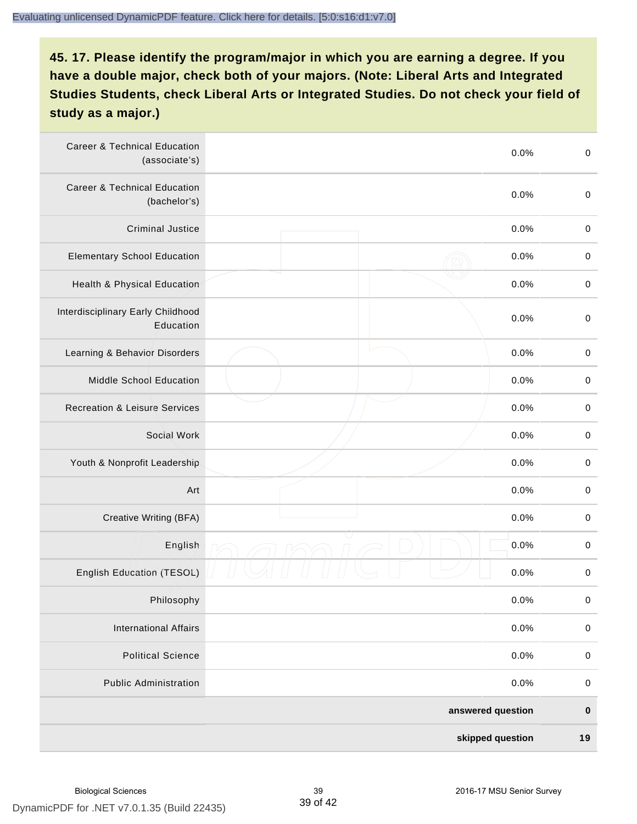| <b>Career &amp; Technical Education</b><br>(associate's) | 0.0%              | $\pmb{0}$   |
|----------------------------------------------------------|-------------------|-------------|
| <b>Career &amp; Technical Education</b><br>(bachelor's)  | 0.0%              | $\mathbf 0$ |
| <b>Criminal Justice</b>                                  | 0.0%              | $\pmb{0}$   |
| <b>Elementary School Education</b>                       | 0.0%              | $\pmb{0}$   |
| Health & Physical Education                              | 0.0%              | $\pmb{0}$   |
| Interdisciplinary Early Childhood<br>Education           | 0.0%              | $\pmb{0}$   |
| Learning & Behavior Disorders                            | 0.0%              | $\pmb{0}$   |
| Middle School Education                                  | 0.0%              | $\pmb{0}$   |
| <b>Recreation &amp; Leisure Services</b>                 | 0.0%              | $\pmb{0}$   |
| Social Work                                              | 0.0%              | $\pmb{0}$   |
| Youth & Nonprofit Leadership                             | 0.0%              | $\mathbf 0$ |
| Art                                                      | 0.0%              | $\pmb{0}$   |
| Creative Writing (BFA)                                   | 0.0%              | $\pmb{0}$   |
| English                                                  | 0.0%              | $\pmb{0}$   |
| English Education (TESOL)                                | 0.0%              | $\pmb{0}$   |
| Philosophy                                               | 0.0%              | 0           |
| <b>International Affairs</b>                             | 0.0%              | $\pmb{0}$   |
| <b>Political Science</b>                                 | 0.0%              | $\pmb{0}$   |
| <b>Public Administration</b>                             | 0.0%              | $\pmb{0}$   |
|                                                          | answered question | $\pmb{0}$   |
|                                                          | skipped question  | 19          |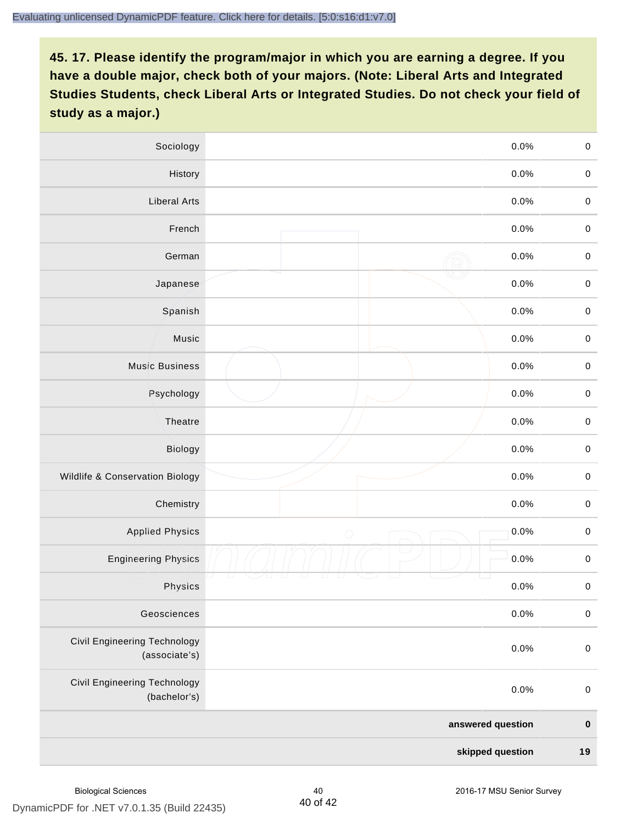| Sociology                                           | 0.0%               | $\mathbf 0$ |
|-----------------------------------------------------|--------------------|-------------|
| History                                             | $0.0\%$            | $\mathbf 0$ |
| <b>Liberal Arts</b>                                 | 0.0%               | $\mathbf 0$ |
| French                                              | 0.0%               | $\pmb{0}$   |
| German                                              | 0.0%               | $\mathbf 0$ |
| Japanese                                            | 0.0%               | $\mathbf 0$ |
| Spanish                                             | 0.0%               | $\mathbf 0$ |
| Music                                               | 0.0%               | $\mathbf 0$ |
| <b>Music Business</b>                               | 0.0%               | $\pmb{0}$   |
| Psychology                                          | 0.0%               | $\mathbf 0$ |
| Theatre                                             | 0.0%               | $\mathbf 0$ |
| Biology                                             | 0.0%               | $\mathbf 0$ |
| Wildlife & Conservation Biology                     | 0.0%               | $\mathbf 0$ |
| Chemistry                                           | 0.0%               | $\pmb{0}$   |
| <b>Applied Physics</b>                              | 0.0%<br>$\bigcirc$ | $\mathbf 0$ |
| <b>Engineering Physics</b>                          | 0.0%               | $\mathbf 0$ |
| Physics                                             | 0.0%               | $\mathbf 0$ |
| Geosciences                                         | 0.0%               | $\mathbf 0$ |
| Civil Engineering Technology<br>(associate's)       | 0.0%               | $\pmb{0}$   |
| <b>Civil Engineering Technology</b><br>(bachelor's) | 0.0%               | $\pmb{0}$   |
|                                                     | answered question  | $\pmb{0}$   |
|                                                     | skipped question   | 19          |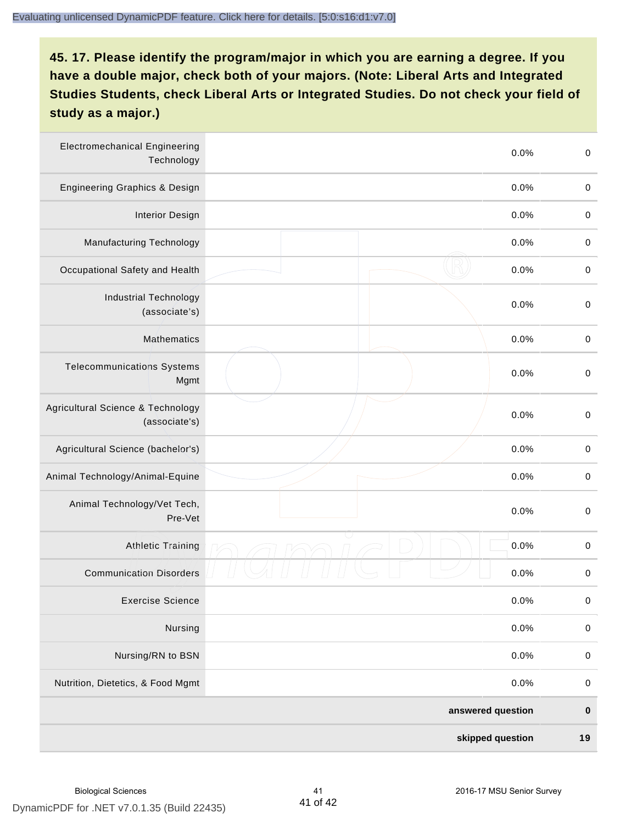| <b>Electromechanical Engineering</b><br>Technology | 0.0%              | $\mathbf 0$ |
|----------------------------------------------------|-------------------|-------------|
| <b>Engineering Graphics &amp; Design</b>           | 0.0%              | $\pmb{0}$   |
| <b>Interior Design</b>                             | 0.0%              | $\pmb{0}$   |
| Manufacturing Technology                           | 0.0%              | 0           |
| Occupational Safety and Health                     | 0.0%              | $\pmb{0}$   |
| <b>Industrial Technology</b><br>(associate's)      | 0.0%              | $\pmb{0}$   |
| <b>Mathematics</b>                                 | 0.0%              | $\pmb{0}$   |
| <b>Telecommunications Systems</b><br>Mgmt          | 0.0%              | $\pmb{0}$   |
| Agricultural Science & Technology<br>(associate's) | 0.0%              | $\mathbf 0$ |
| Agricultural Science (bachelor's)                  | 0.0%              | $\mathbf 0$ |
| Animal Technology/Animal-Equine                    | 0.0%              | $\pmb{0}$   |
| Animal Technology/Vet Tech,<br>Pre-Vet             | 0.0%              | $\pmb{0}$   |
| <b>Athletic Training</b>                           | 0.0%              | $\pmb{0}$   |
| <b>Communication Disorders</b>                     | 0.0%              | 0           |
| <b>Exercise Science</b>                            | 0.0%              | $\pmb{0}$   |
| Nursing                                            | 0.0%              | $\pmb{0}$   |
| Nursing/RN to BSN                                  | 0.0%              | $\pmb{0}$   |
| Nutrition, Dietetics, & Food Mgmt                  | 0.0%              | $\mathbf 0$ |
|                                                    | answered question | $\pmb{0}$   |
|                                                    | skipped question  | 19          |